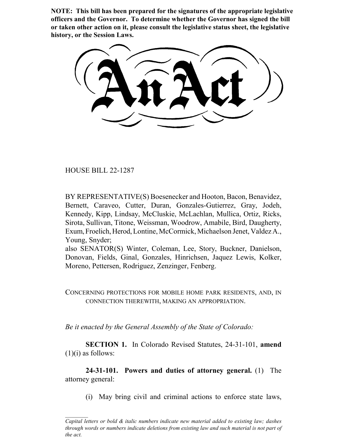**NOTE: This bill has been prepared for the signatures of the appropriate legislative officers and the Governor. To determine whether the Governor has signed the bill or taken other action on it, please consult the legislative status sheet, the legislative history, or the Session Laws.**

HOUSE BILL 22-1287

BY REPRESENTATIVE(S) Boesenecker and Hooton, Bacon, Benavidez, Bernett, Caraveo, Cutter, Duran, Gonzales-Gutierrez, Gray, Jodeh, Kennedy, Kipp, Lindsay, McCluskie, McLachlan, Mullica, Ortiz, Ricks, Sirota, Sullivan, Titone, Weissman, Woodrow, Amabile, Bird, Daugherty, Exum, Froelich, Herod, Lontine, McCormick, Michaelson Jenet, Valdez A., Young, Snyder;

also SENATOR(S) Winter, Coleman, Lee, Story, Buckner, Danielson, Donovan, Fields, Ginal, Gonzales, Hinrichsen, Jaquez Lewis, Kolker, Moreno, Pettersen, Rodriguez, Zenzinger, Fenberg.

CONCERNING PROTECTIONS FOR MOBILE HOME PARK RESIDENTS, AND, IN CONNECTION THEREWITH, MAKING AN APPROPRIATION.

*Be it enacted by the General Assembly of the State of Colorado:*

**SECTION 1.** In Colorado Revised Statutes, 24-31-101, **amend**  $(1)(i)$  as follows:

**24-31-101. Powers and duties of attorney general.** (1) The attorney general:

(i) May bring civil and criminal actions to enforce state laws,

*Capital letters or bold & italic numbers indicate new material added to existing law; dashes through words or numbers indicate deletions from existing law and such material is not part of the act.*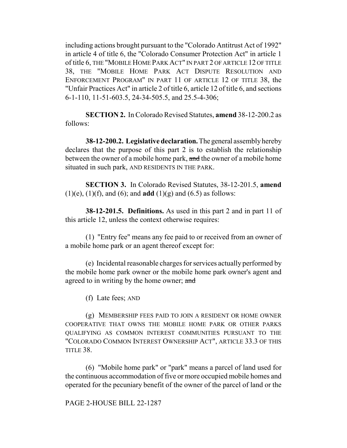including actions brought pursuant to the "Colorado Antitrust Act of 1992" in article 4 of title 6, the "Colorado Consumer Protection Act" in article 1 of title 6, THE "MOBILE HOME PARK ACT" IN PART 2 OF ARTICLE 12 OF TITLE 38, THE "MOBILE HOME PARK ACT DISPUTE RESOLUTION AND ENFORCEMENT PROGRAM" IN PART 11 OF ARTICLE 12 OF TITLE 38, the "Unfair Practices Act" in article 2 of title 6, article 12 of title 6, and sections 6-1-110, 11-51-603.5, 24-34-505.5, and 25.5-4-306;

**SECTION 2.** In Colorado Revised Statutes, **amend** 38-12-200.2 as follows:

**38-12-200.2. Legislative declaration.** The general assembly hereby declares that the purpose of this part 2 is to establish the relationship between the owner of a mobile home park, and the owner of a mobile home situated in such park, AND RESIDENTS IN THE PARK.

**SECTION 3.** In Colorado Revised Statutes, 38-12-201.5, **amend** (1)(e), (1)(f), and (6); and **add** (1)(g) and (6.5) as follows:

**38-12-201.5. Definitions.** As used in this part 2 and in part 11 of this article 12, unless the context otherwise requires:

(1) "Entry fee" means any fee paid to or received from an owner of a mobile home park or an agent thereof except for:

(e) Incidental reasonable charges for services actually performed by the mobile home park owner or the mobile home park owner's agent and agreed to in writing by the home owner; and

(f) Late fees; AND

(g) MEMBERSHIP FEES PAID TO JOIN A RESIDENT OR HOME OWNER COOPERATIVE THAT OWNS THE MOBILE HOME PARK OR OTHER PARKS QUALIFYING AS COMMON INTEREST COMMUNITIES PURSUANT TO THE "COLORADO COMMON INTEREST OWNERSHIP ACT", ARTICLE 33.3 OF THIS TITLE 38.

(6) "Mobile home park" or "park" means a parcel of land used for the continuous accommodation of five or more occupied mobile homes and operated for the pecuniary benefit of the owner of the parcel of land or the

# PAGE 2-HOUSE BILL 22-1287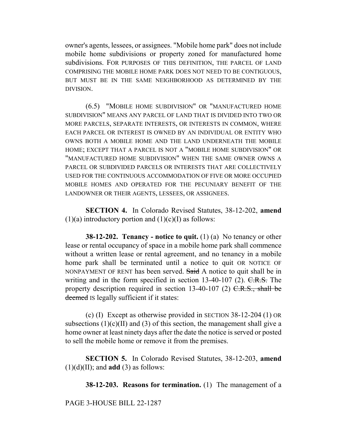owner's agents, lessees, or assignees. "Mobile home park" does not include mobile home subdivisions or property zoned for manufactured home subdivisions. FOR PURPOSES OF THIS DEFINITION, THE PARCEL OF LAND COMPRISING THE MOBILE HOME PARK DOES NOT NEED TO BE CONTIGUOUS, BUT MUST BE IN THE SAME NEIGHBORHOOD AS DETERMINED BY THE DIVISION.

(6.5) "MOBILE HOME SUBDIVISION" OR "MANUFACTURED HOME SUBDIVISION" MEANS ANY PARCEL OF LAND THAT IS DIVIDED INTO TWO OR MORE PARCELS, SEPARATE INTERESTS, OR INTERESTS IN COMMON, WHERE EACH PARCEL OR INTEREST IS OWNED BY AN INDIVIDUAL OR ENTITY WHO OWNS BOTH A MOBILE HOME AND THE LAND UNDERNEATH THE MOBILE HOME; EXCEPT THAT A PARCEL IS NOT A "MOBILE HOME SUBDIVISION" OR "MANUFACTURED HOME SUBDIVISION" WHEN THE SAME OWNER OWNS A PARCEL OR SUBDIVIDED PARCELS OR INTERESTS THAT ARE COLLECTIVELY USED FOR THE CONTINUOUS ACCOMMODATION OF FIVE OR MORE OCCUPIED MOBILE HOMES AND OPERATED FOR THE PECUNIARY BENEFIT OF THE LANDOWNER OR THEIR AGENTS, LESSEES, OR ASSIGNEES.

**SECTION 4.** In Colorado Revised Statutes, 38-12-202, **amend**  $(1)(a)$  introductory portion and  $(1)(c)(I)$  as follows:

**38-12-202. Tenancy - notice to quit.** (1) (a) No tenancy or other lease or rental occupancy of space in a mobile home park shall commence without a written lease or rental agreement, and no tenancy in a mobile home park shall be terminated until a notice to quit OR NOTICE OF NONPAYMENT OF RENT has been served. Said A notice to quit shall be in writing and in the form specified in section 13-40-107 (2).  $C.R.S.$  The property description required in section  $13-40-107$  (2)  $C.R.S.,$  shall be deemed IS legally sufficient if it states:

(c) (I) Except as otherwise provided in SECTION 38-12-204 (1) OR subsections  $(1)(c)(II)$  and  $(3)$  of this section, the management shall give a home owner at least ninety days after the date the notice is served or posted to sell the mobile home or remove it from the premises.

**SECTION 5.** In Colorado Revised Statutes, 38-12-203, **amend**  $(1)(d)(II)$ ; and **add**  $(3)$  as follows:

**38-12-203. Reasons for termination.** (1) The management of a

PAGE 3-HOUSE BILL 22-1287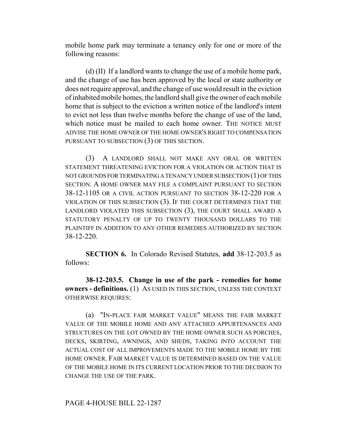mobile home park may terminate a tenancy only for one or more of the following reasons:

(d) (II) If a landlord wants to change the use of a mobile home park, and the change of use has been approved by the local or state authority or does not require approval, and the change of use would result in the eviction of inhabited mobile homes, the landlord shall give the owner of each mobile home that is subject to the eviction a written notice of the landlord's intent to evict not less than twelve months before the change of use of the land, which notice must be mailed to each home owner. THE NOTICE MUST ADVISE THE HOME OWNER OF THE HOME OWNER'S RIGHT TO COMPENSATION PURSUANT TO SUBSECTION (3) OF THIS SECTION.

(3) A LANDLORD SHALL NOT MAKE ANY ORAL OR WRITTEN STATEMENT THREATENING EVICTION FOR A VIOLATION OR ACTION THAT IS NOT GROUNDS FOR TERMINATING A TENANCY UNDER SUBSECTION (1) OF THIS SECTION. A HOME OWNER MAY FILE A COMPLAINT PURSUANT TO SECTION 38-12-1105 OR A CIVIL ACTION PURSUANT TO SECTION 38-12-220 FOR A VIOLATION OF THIS SUBSECTION (3). IF THE COURT DETERMINES THAT THE LANDLORD VIOLATED THIS SUBSECTION (3), THE COURT SHALL AWARD A STATUTORY PENALTY OF UP TO TWENTY THOUSAND DOLLARS TO THE PLAINTIFF IN ADDITION TO ANY OTHER REMEDIES AUTHORIZED BY SECTION 38-12-220.

**SECTION 6.** In Colorado Revised Statutes, **add** 38-12-203.5 as follows:

**38-12-203.5. Change in use of the park - remedies for home owners - definitions.** (1) AS USED IN THIS SECTION, UNLESS THE CONTEXT OTHERWISE REQUIRES:

(a) "IN-PLACE FAIR MARKET VALUE" MEANS THE FAIR MARKET VALUE OF THE MOBILE HOME AND ANY ATTACHED APPURTENANCES AND STRUCTURES ON THE LOT OWNED BY THE HOME OWNER SUCH AS PORCHES, DECKS, SKIRTING, AWNINGS, AND SHEDS, TAKING INTO ACCOUNT THE ACTUAL COST OF ALL IMPROVEMENTS MADE TO THE MOBILE HOME BY THE HOME OWNER. FAIR MARKET VALUE IS DETERMINED BASED ON THE VALUE OF THE MOBILE HOME IN ITS CURRENT LOCATION PRIOR TO THE DECISION TO CHANGE THE USE OF THE PARK.

# PAGE 4-HOUSE BILL 22-1287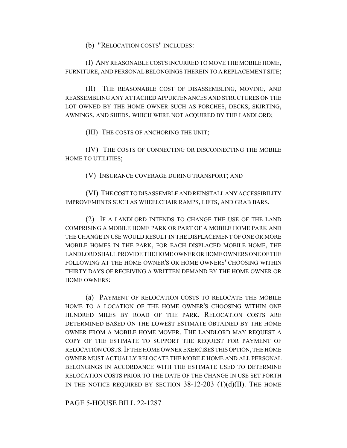(b) "RELOCATION COSTS" INCLUDES:

(I) ANY REASONABLE COSTS INCURRED TO MOVE THE MOBILE HOME, FURNITURE, AND PERSONAL BELONGINGS THEREIN TO A REPLACEMENT SITE;

(II) THE REASONABLE COST OF DISASSEMBLING, MOVING, AND REASSEMBLING ANY ATTACHED APPURTENANCES AND STRUCTURES ON THE LOT OWNED BY THE HOME OWNER SUCH AS PORCHES, DECKS, SKIRTING, AWNINGS, AND SHEDS, WHICH WERE NOT ACQUIRED BY THE LANDLORD;

(III) THE COSTS OF ANCHORING THE UNIT;

(IV) THE COSTS OF CONNECTING OR DISCONNECTING THE MOBILE HOME TO UTILITIES;

(V) INSURANCE COVERAGE DURING TRANSPORT; AND

(VI) THE COST TO DISASSEMBLE AND REINSTALL ANY ACCESSIBILITY IMPROVEMENTS SUCH AS WHEELCHAIR RAMPS, LIFTS, AND GRAB BARS.

(2) IF A LANDLORD INTENDS TO CHANGE THE USE OF THE LAND COMPRISING A MOBILE HOME PARK OR PART OF A MOBILE HOME PARK AND THE CHANGE IN USE WOULD RESULT IN THE DISPLACEMENT OF ONE OR MORE MOBILE HOMES IN THE PARK, FOR EACH DISPLACED MOBILE HOME, THE LANDLORD SHALL PROVIDE THE HOME OWNER OR HOME OWNERS ONE OF THE FOLLOWING AT THE HOME OWNER'S OR HOME OWNERS' CHOOSING WITHIN THIRTY DAYS OF RECEIVING A WRITTEN DEMAND BY THE HOME OWNER OR HOME OWNERS:

(a) PAYMENT OF RELOCATION COSTS TO RELOCATE THE MOBILE HOME TO A LOCATION OF THE HOME OWNER'S CHOOSING WITHIN ONE HUNDRED MILES BY ROAD OF THE PARK. RELOCATION COSTS ARE DETERMINED BASED ON THE LOWEST ESTIMATE OBTAINED BY THE HOME OWNER FROM A MOBILE HOME MOVER. THE LANDLORD MAY REQUEST A COPY OF THE ESTIMATE TO SUPPORT THE REQUEST FOR PAYMENT OF RELOCATION COSTS.IF THE HOME OWNER EXERCISES THIS OPTION, THE HOME OWNER MUST ACTUALLY RELOCATE THE MOBILE HOME AND ALL PERSONAL BELONGINGS IN ACCORDANCE WITH THE ESTIMATE USED TO DETERMINE RELOCATION COSTS PRIOR TO THE DATE OF THE CHANGE IN USE SET FORTH IN THE NOTICE REQUIRED BY SECTION  $38-12-203$  (1)(d)(II). THE HOME

PAGE 5-HOUSE BILL 22-1287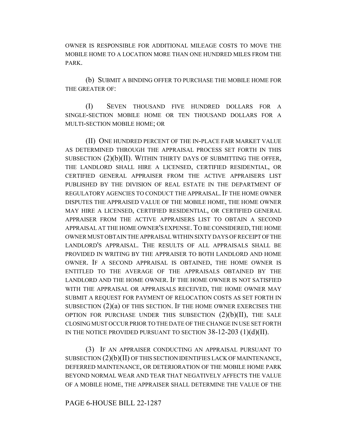OWNER IS RESPONSIBLE FOR ADDITIONAL MILEAGE COSTS TO MOVE THE MOBILE HOME TO A LOCATION MORE THAN ONE HUNDRED MILES FROM THE PARK.

(b) SUBMIT A BINDING OFFER TO PURCHASE THE MOBILE HOME FOR THE GREATER OF:

(I) SEVEN THOUSAND FIVE HUNDRED DOLLARS FOR A SINGLE-SECTION MOBILE HOME OR TEN THOUSAND DOLLARS FOR A MULTI-SECTION MOBILE HOME; OR

(II) ONE HUNDRED PERCENT OF THE IN-PLACE FAIR MARKET VALUE AS DETERMINED THROUGH THE APPRAISAL PROCESS SET FORTH IN THIS SUBSECTION  $(2)(b)(II)$ . WITHIN THIRTY DAYS OF SUBMITTING THE OFFER, THE LANDLORD SHALL HIRE A LICENSED, CERTIFIED RESIDENTIAL, OR CERTIFIED GENERAL APPRAISER FROM THE ACTIVE APPRAISERS LIST PUBLISHED BY THE DIVISION OF REAL ESTATE IN THE DEPARTMENT OF REGULATORY AGENCIES TO CONDUCT THE APPRAISAL. IF THE HOME OWNER DISPUTES THE APPRAISED VALUE OF THE MOBILE HOME, THE HOME OWNER MAY HIRE A LICENSED, CERTIFIED RESIDENTIAL, OR CERTIFIED GENERAL APPRAISER FROM THE ACTIVE APPRAISERS LIST TO OBTAIN A SECOND APPRAISAL AT THE HOME OWNER'S EXPENSE.TO BE CONSIDERED, THE HOME OWNER MUST OBTAIN THE APPRAISAL WITHIN SIXTY DAYS OF RECEIPT OF THE LANDLORD'S APPRAISAL. THE RESULTS OF ALL APPRAISALS SHALL BE PROVIDED IN WRITING BY THE APPRAISER TO BOTH LANDLORD AND HOME OWNER. IF A SECOND APPRAISAL IS OBTAINED, THE HOME OWNER IS ENTITLED TO THE AVERAGE OF THE APPRAISALS OBTAINED BY THE LANDLORD AND THE HOME OWNER. IF THE HOME OWNER IS NOT SATISFIED WITH THE APPRAISAL OR APPRAISALS RECEIVED, THE HOME OWNER MAY SUBMIT A REQUEST FOR PAYMENT OF RELOCATION COSTS AS SET FORTH IN SUBSECTION  $(2)(a)$  OF THIS SECTION. IF THE HOME OWNER EXERCISES THE OPTION FOR PURCHASE UNDER THIS SUBSECTION  $(2)(b)(II)$ , THE SALE CLOSING MUST OCCUR PRIOR TO THE DATE OF THE CHANGE IN USE SET FORTH IN THE NOTICE PROVIDED PURSUANT TO SECTION  $38-12-203$  (1)(d)(II).

(3) IF AN APPRAISER CONDUCTING AN APPRAISAL PURSUANT TO SUBSECTION  $(2)(b)(II)$  OF THIS SECTION IDENTIFIES LACK OF MAINTENANCE, DEFERRED MAINTENANCE, OR DETERIORATION OF THE MOBILE HOME PARK BEYOND NORMAL WEAR AND TEAR THAT NEGATIVELY AFFECTS THE VALUE OF A MOBILE HOME, THE APPRAISER SHALL DETERMINE THE VALUE OF THE

#### PAGE 6-HOUSE BILL 22-1287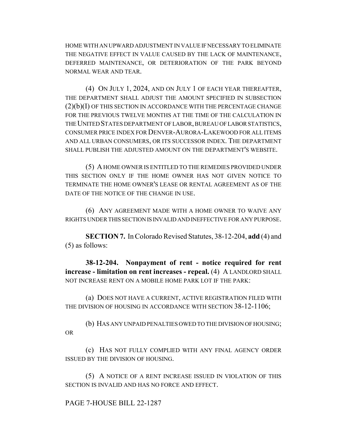HOME WITH AN UPWARD ADJUSTMENT IN VALUE IF NECESSARY TO ELIMINATE THE NEGATIVE EFFECT IN VALUE CAUSED BY THE LACK OF MAINTENANCE, DEFERRED MAINTENANCE, OR DETERIORATION OF THE PARK BEYOND NORMAL WEAR AND TEAR.

(4) ON JULY 1, 2024, AND ON JULY 1 OF EACH YEAR THEREAFTER, THE DEPARTMENT SHALL ADJUST THE AMOUNT SPECIFIED IN SUBSECTION  $(2)(b)(I)$  OF THIS SECTION IN ACCORDANCE WITH THE PERCENTAGE CHANGE FOR THE PREVIOUS TWELVE MONTHS AT THE TIME OF THE CALCULATION IN THE UNITED STATES DEPARTMENT OF LABOR, BUREAU OF LABOR STATISTICS, CONSUMER PRICE INDEX FOR DENVER-AURORA-LAKEWOOD FOR ALL ITEMS AND ALL URBAN CONSUMERS, OR ITS SUCCESSOR INDEX. THE DEPARTMENT SHALL PUBLISH THE ADJUSTED AMOUNT ON THE DEPARTMENT'S WEBSITE.

(5) A HOME OWNER IS ENTITLED TO THE REMEDIES PROVIDED UNDER THIS SECTION ONLY IF THE HOME OWNER HAS NOT GIVEN NOTICE TO TERMINATE THE HOME OWNER'S LEASE OR RENTAL AGREEMENT AS OF THE DATE OF THE NOTICE OF THE CHANGE IN USE.

(6) ANY AGREEMENT MADE WITH A HOME OWNER TO WAIVE ANY RIGHTS UNDER THIS SECTION IS INVALID AND INEFFECTIVE FOR ANY PURPOSE.

**SECTION 7.** In Colorado Revised Statutes, 38-12-204, **add** (4) and (5) as follows:

**38-12-204. Nonpayment of rent - notice required for rent increase - limitation on rent increases - repeal.** (4) A LANDLORD SHALL NOT INCREASE RENT ON A MOBILE HOME PARK LOT IF THE PARK:

(a) DOES NOT HAVE A CURRENT, ACTIVE REGISTRATION FILED WITH THE DIVISION OF HOUSING IN ACCORDANCE WITH SECTION 38-12-1106;

(b) HAS ANY UNPAID PENALTIES OWED TO THE DIVISION OF HOUSING; OR

(c) HAS NOT FULLY COMPLIED WITH ANY FINAL AGENCY ORDER ISSUED BY THE DIVISION OF HOUSING.

(5) A NOTICE OF A RENT INCREASE ISSUED IN VIOLATION OF THIS SECTION IS INVALID AND HAS NO FORCE AND EFFECT.

PAGE 7-HOUSE BILL 22-1287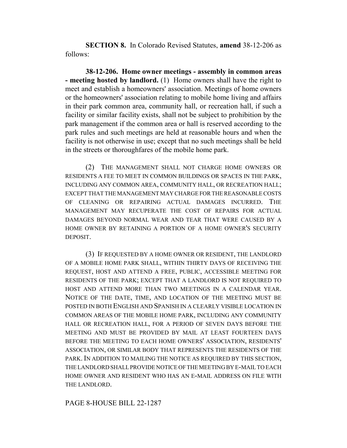**SECTION 8.** In Colorado Revised Statutes, **amend** 38-12-206 as follows:

**38-12-206. Home owner meetings - assembly in common areas - meeting hosted by landlord.** (1) Home owners shall have the right to meet and establish a homeowners' association. Meetings of home owners or the homeowners' association relating to mobile home living and affairs in their park common area, community hall, or recreation hall, if such a facility or similar facility exists, shall not be subject to prohibition by the park management if the common area or hall is reserved according to the park rules and such meetings are held at reasonable hours and when the facility is not otherwise in use; except that no such meetings shall be held in the streets or thoroughfares of the mobile home park.

(2) THE MANAGEMENT SHALL NOT CHARGE HOME OWNERS OR RESIDENTS A FEE TO MEET IN COMMON BUILDINGS OR SPACES IN THE PARK, INCLUDING ANY COMMON AREA, COMMUNITY HALL, OR RECREATION HALL; EXCEPT THAT THE MANAGEMENT MAY CHARGE FOR THE REASONABLE COSTS OF CLEANING OR REPAIRING ACTUAL DAMAGES INCURRED. THE MANAGEMENT MAY RECUPERATE THE COST OF REPAIRS FOR ACTUAL DAMAGES BEYOND NORMAL WEAR AND TEAR THAT WERE CAUSED BY A HOME OWNER BY RETAINING A PORTION OF A HOME OWNER'S SECURITY DEPOSIT.

(3) IF REQUESTED BY A HOME OWNER OR RESIDENT, THE LANDLORD OF A MOBILE HOME PARK SHALL, WITHIN THIRTY DAYS OF RECEIVING THE REQUEST, HOST AND ATTEND A FREE, PUBLIC, ACCESSIBLE MEETING FOR RESIDENTS OF THE PARK; EXCEPT THAT A LANDLORD IS NOT REQUIRED TO HOST AND ATTEND MORE THAN TWO MEETINGS IN A CALENDAR YEAR. NOTICE OF THE DATE, TIME, AND LOCATION OF THE MEETING MUST BE POSTED IN BOTH ENGLISH AND SPANISH IN A CLEARLY VISIBLE LOCATION IN COMMON AREAS OF THE MOBILE HOME PARK, INCLUDING ANY COMMUNITY HALL OR RECREATION HALL, FOR A PERIOD OF SEVEN DAYS BEFORE THE MEETING AND MUST BE PROVIDED BY MAIL AT LEAST FOURTEEN DAYS BEFORE THE MEETING TO EACH HOME OWNERS' ASSOCIATION, RESIDENTS' ASSOCIATION, OR SIMILAR BODY THAT REPRESENTS THE RESIDENTS OF THE PARK. IN ADDITION TO MAILING THE NOTICE AS REQUIRED BY THIS SECTION, THE LANDLORD SHALL PROVIDE NOTICE OF THE MEETING BY E-MAIL TO EACH HOME OWNER AND RESIDENT WHO HAS AN E-MAIL ADDRESS ON FILE WITH THE LANDLORD.

PAGE 8-HOUSE BILL 22-1287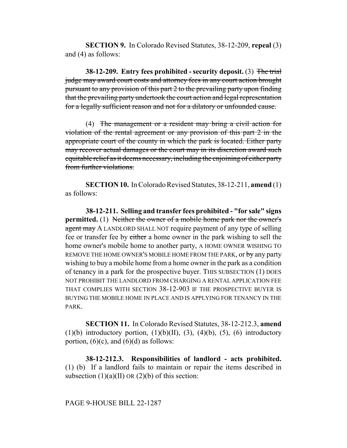**SECTION 9.** In Colorado Revised Statutes, 38-12-209, **repeal** (3) and (4) as follows:

**38-12-209. Entry fees prohibited - security deposit.** (3) The trial judge may award court costs and attorney fees in any court action brought pursuant to any provision of this part 2 to the prevailing party upon finding that the prevailing party undertook the court action and legal representation for a legally sufficient reason and not for a dilatory or unfounded cause.

(4) The management or a resident may bring a civil action for violation of the rental agreement or any provision of this part 2 in the appropriate court of the county in which the park is located. Either party may recover actual damages or the court may in its discretion award such equitable relief as it deems necessary, including the enjoining of either party from further violations.

**SECTION 10.** In Colorado Revised Statutes, 38-12-211, **amend** (1) as follows:

**38-12-211. Selling and transfer fees prohibited - "for sale" signs permitted.** (1) Neither the owner of a mobile home park nor the owner's agent may A LANDLORD SHALL NOT require payment of any type of selling fee or transfer fee by either a home owner in the park wishing to sell the home owner's mobile home to another party, A HOME OWNER WISHING TO REMOVE THE HOME OWNER'S MOBILE HOME FROM THE PARK, or by any party wishing to buy a mobile home from a home owner in the park as a condition of tenancy in a park for the prospective buyer. THIS SUBSECTION (1) DOES NOT PROHIBIT THE LANDLORD FROM CHARGING A RENTAL APPLICATION FEE THAT COMPLIES WITH SECTION 38-12-903 IF THE PROSPECTIVE BUYER IS BUYING THE MOBILE HOME IN PLACE AND IS APPLYING FOR TENANCY IN THE PARK.

**SECTION 11.** In Colorado Revised Statutes, 38-12-212.3, **amend** (1)(b) introductory portion, (1)(b)(II), (3), (4)(b), (5), (6) introductory portion,  $(6)(c)$ , and  $(6)(d)$  as follows:

**38-12-212.3. Responsibilities of landlord - acts prohibited.** (1) (b) If a landlord fails to maintain or repair the items described in subsection  $(1)(a)(II)$  OR  $(2)(b)$  of this section: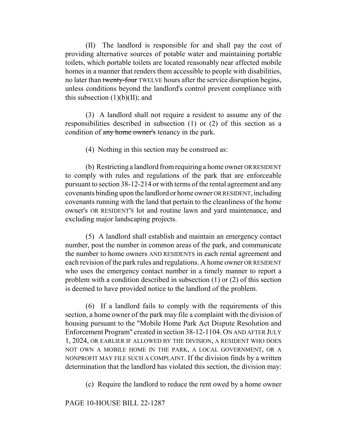(II) The landlord is responsible for and shall pay the cost of providing alternative sources of potable water and maintaining portable toilets, which portable toilets are located reasonably near affected mobile homes in a manner that renders them accessible to people with disabilities, no later than twenty-four TWELVE hours after the service disruption begins, unless conditions beyond the landlord's control prevent compliance with this subsection  $(1)(b)(II)$ ; and

(3) A landlord shall not require a resident to assume any of the responsibilities described in subsection (1) or (2) of this section as a condition of any home owner's tenancy in the park.

(4) Nothing in this section may be construed as:

(b) Restricting a landlord from requiring a home owner OR RESIDENT to comply with rules and regulations of the park that are enforceable pursuant to section 38-12-214 or with terms of the rental agreement and any covenants binding upon the landlord or home owner OR RESIDENT, including covenants running with the land that pertain to the cleanliness of the home owner's OR RESIDENT'S lot and routine lawn and yard maintenance, and excluding major landscaping projects.

(5) A landlord shall establish and maintain an emergency contact number, post the number in common areas of the park, and communicate the number to home owners AND RESIDENTS in each rental agreement and each revision of the park rules and regulations. A home owner OR RESIDENT who uses the emergency contact number in a timely manner to report a problem with a condition described in subsection (1) or (2) of this section is deemed to have provided notice to the landlord of the problem.

(6) If a landlord fails to comply with the requirements of this section, a home owner of the park may file a complaint with the division of housing pursuant to the "Mobile Home Park Act Dispute Resolution and Enforcement Program" created in section 38-12-1104. ON AND AFTER JULY 1, 2024, OR EARLIER IF ALLOWED BY THE DIVISION, A RESIDENT WHO DOES NOT OWN A MOBILE HOME IN THE PARK, A LOCAL GOVERNMENT, OR A NONPROFIT MAY FILE SUCH A COMPLAINT. If the division finds by a written determination that the landlord has violated this section, the division may:

(c) Require the landlord to reduce the rent owed by a home owner

# PAGE 10-HOUSE BILL 22-1287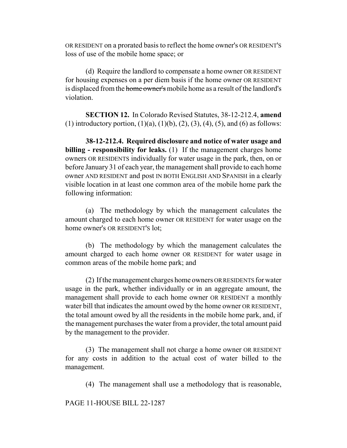OR RESIDENT on a prorated basis to reflect the home owner's OR RESIDENT'S loss of use of the mobile home space; or

(d) Require the landlord to compensate a home owner OR RESIDENT for housing expenses on a per diem basis if the home owner OR RESIDENT is displaced from the home owner's mobile home as a result of the landlord's violation.

**SECTION 12.** In Colorado Revised Statutes, 38-12-212.4, **amend** (1) introductory portion,  $(1)(a)$ ,  $(1)(b)$ ,  $(2)$ ,  $(3)$ ,  $(4)$ ,  $(5)$ , and  $(6)$  as follows:

**38-12-212.4. Required disclosure and notice of water usage and billing - responsibility for leaks.** (1) If the management charges home owners OR RESIDENTS individually for water usage in the park, then, on or before January 31 of each year, the management shall provide to each home owner AND RESIDENT and post IN BOTH ENGLISH AND SPANISH in a clearly visible location in at least one common area of the mobile home park the following information:

(a) The methodology by which the management calculates the amount charged to each home owner OR RESIDENT for water usage on the home owner's OR RESIDENT'S lot;

(b) The methodology by which the management calculates the amount charged to each home owner OR RESIDENT for water usage in common areas of the mobile home park; and

(2) If the management charges home owners OR RESIDENTS for water usage in the park, whether individually or in an aggregate amount, the management shall provide to each home owner OR RESIDENT a monthly water bill that indicates the amount owed by the home owner OR RESIDENT, the total amount owed by all the residents in the mobile home park, and, if the management purchases the water from a provider, the total amount paid by the management to the provider.

(3) The management shall not charge a home owner OR RESIDENT for any costs in addition to the actual cost of water billed to the management.

(4) The management shall use a methodology that is reasonable,

PAGE 11-HOUSE BILL 22-1287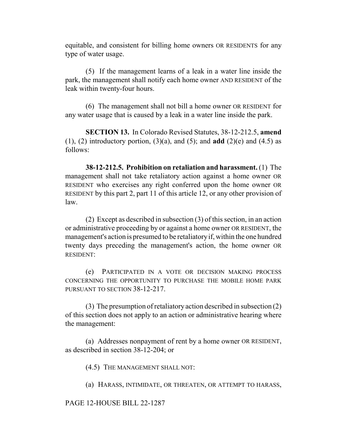equitable, and consistent for billing home owners OR RESIDENTS for any type of water usage.

(5) If the management learns of a leak in a water line inside the park, the management shall notify each home owner AND RESIDENT of the leak within twenty-four hours.

(6) The management shall not bill a home owner OR RESIDENT for any water usage that is caused by a leak in a water line inside the park.

**SECTION 13.** In Colorado Revised Statutes, 38-12-212.5, **amend**  $(1)$ ,  $(2)$  introductory portion,  $(3)(a)$ , and  $(5)$ ; and **add**  $(2)(e)$  and  $(4.5)$  as follows:

**38-12-212.5. Prohibition on retaliation and harassment.** (1) The management shall not take retaliatory action against a home owner OR RESIDENT who exercises any right conferred upon the home owner OR RESIDENT by this part 2, part 11 of this article 12, or any other provision of law.

(2) Except as described in subsection (3) of this section, in an action or administrative proceeding by or against a home owner OR RESIDENT, the management's action is presumed to be retaliatory if, within the one hundred twenty days preceding the management's action, the home owner OR RESIDENT:

(e) PARTICIPATED IN A VOTE OR DECISION MAKING PROCESS CONCERNING THE OPPORTUNITY TO PURCHASE THE MOBILE HOME PARK PURSUANT TO SECTION 38-12-217.

(3) The presumption of retaliatory action described in subsection (2) of this section does not apply to an action or administrative hearing where the management:

(a) Addresses nonpayment of rent by a home owner OR RESIDENT, as described in section 38-12-204; or

(4.5) THE MANAGEMENT SHALL NOT:

(a) HARASS, INTIMIDATE, OR THREATEN, OR ATTEMPT TO HARASS,

#### PAGE 12-HOUSE BILL 22-1287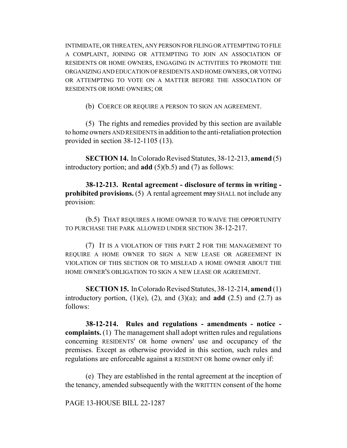INTIMIDATE, OR THREATEN, ANY PERSON FOR FILING OR ATTEMPTING TO FILE A COMPLAINT, JOINING OR ATTEMPTING TO JOIN AN ASSOCIATION OF RESIDENTS OR HOME OWNERS, ENGAGING IN ACTIVITIES TO PROMOTE THE ORGANIZING AND EDUCATION OF RESIDENTS AND HOME OWNERS, OR VOTING OR ATTEMPTING TO VOTE ON A MATTER BEFORE THE ASSOCIATION OF RESIDENTS OR HOME OWNERS; OR

(b) COERCE OR REQUIRE A PERSON TO SIGN AN AGREEMENT.

(5) The rights and remedies provided by this section are available to home owners AND RESIDENTS in addition to the anti-retaliation protection provided in section 38-12-1105 (13).

**SECTION 14.** In Colorado Revised Statutes, 38-12-213, **amend** (5) introductory portion; and **add** (5)(b.5) and (7) as follows:

**38-12-213. Rental agreement - disclosure of terms in writing prohibited provisions.** (5) A rental agreement may SHALL not include any provision:

(b.5) THAT REQUIRES A HOME OWNER TO WAIVE THE OPPORTUNITY TO PURCHASE THE PARK ALLOWED UNDER SECTION 38-12-217.

(7) IT IS A VIOLATION OF THIS PART 2 FOR THE MANAGEMENT TO REQUIRE A HOME OWNER TO SIGN A NEW LEASE OR AGREEMENT IN VIOLATION OF THIS SECTION OR TO MISLEAD A HOME OWNER ABOUT THE HOME OWNER'S OBLIGATION TO SIGN A NEW LEASE OR AGREEMENT.

**SECTION 15.** In Colorado Revised Statutes, 38-12-214, **amend** (1) introductory portion,  $(1)(e)$ ,  $(2)$ , and  $(3)(a)$ ; and **add**  $(2.5)$  and  $(2.7)$  as follows:

**38-12-214. Rules and regulations - amendments - notice complaints.** (1) The management shall adopt written rules and regulations concerning RESIDENTS' OR home owners' use and occupancy of the premises. Except as otherwise provided in this section, such rules and regulations are enforceable against a RESIDENT OR home owner only if:

(e) They are established in the rental agreement at the inception of the tenancy, amended subsequently with the WRITTEN consent of the home

PAGE 13-HOUSE BILL 22-1287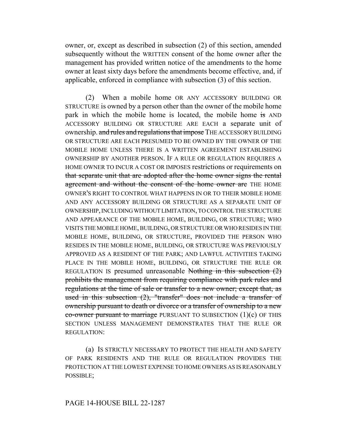owner, or, except as described in subsection (2) of this section, amended subsequently without the WRITTEN consent of the home owner after the management has provided written notice of the amendments to the home owner at least sixty days before the amendments become effective, and, if applicable, enforced in compliance with subsection (3) of this section.

(2) When a mobile home OR ANY ACCESSORY BUILDING OR STRUCTURE is owned by a person other than the owner of the mobile home park in which the mobile home is located, the mobile home is AND ACCESSORY BUILDING OR STRUCTURE ARE EACH a separate unit of ownership. and rules and regulations that impose THE ACCESSORY BUILDING OR STRUCTURE ARE EACH PRESUMED TO BE OWNED BY THE OWNER OF THE MOBILE HOME UNLESS THERE IS A WRITTEN AGREEMENT ESTABLISHING OWNERSHIP BY ANOTHER PERSON. IF A RULE OR REGULATION REQUIRES A HOME OWNER TO INCUR A COST OR IMPOSES restrictions or requirements on that separate unit that are adopted after the home owner signs the rental agreement and without the consent of the home owner are THE HOME OWNER'S RIGHT TO CONTROL WHAT HAPPENS IN OR TO THEIR MOBILE HOME AND ANY ACCESSORY BUILDING OR STRUCTURE AS A SEPARATE UNIT OF OWNERSHIP, INCLUDING WITHOUT LIMITATION, TO CONTROL THE STRUCTURE AND APPEARANCE OF THE MOBILE HOME, BUILDING, OR STRUCTURE; WHO VISITS THE MOBILE HOME, BUILDING, OR STRUCTURE OR WHO RESIDES IN THE MOBILE HOME, BUILDING, OR STRUCTURE, PROVIDED THE PERSON WHO RESIDES IN THE MOBILE HOME, BUILDING, OR STRUCTURE WAS PREVIOUSLY APPROVED AS A RESIDENT OF THE PARK; AND LAWFUL ACTIVITIES TAKING PLACE IN THE MOBILE HOME, BUILDING, OR STRUCTURE THE RULE OR REGULATION IS presumed unreasonable Nothing in this subsection  $(2)$ prohibits the management from requiring compliance with park rules and regulations at the time of sale or transfer to a new owner; except that, as used in this subsection (2), "transfer" does not include a transfer of ownership pursuant to death or divorce or a transfer of ownership to a new  $\overline{\text{co}}$ -owner pursuant to marriage PURSUANT TO SUBSECTION (1)(c) OF THIS SECTION UNLESS MANAGEMENT DEMONSTRATES THAT THE RULE OR REGULATION:

(a) IS STRICTLY NECESSARY TO PROTECT THE HEALTH AND SAFETY OF PARK RESIDENTS AND THE RULE OR REGULATION PROVIDES THE PROTECTION AT THE LOWEST EXPENSE TO HOME OWNERS AS IS REASONABLY POSSIBLE;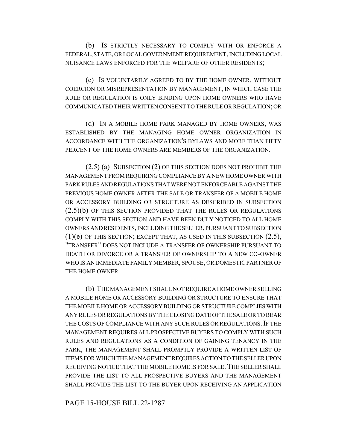(b) IS STRICTLY NECESSARY TO COMPLY WITH OR ENFORCE A FEDERAL, STATE, OR LOCAL GOVERNMENT REQUIREMENT, INCLUDING LOCAL NUISANCE LAWS ENFORCED FOR THE WELFARE OF OTHER RESIDENTS;

(c) IS VOLUNTARILY AGREED TO BY THE HOME OWNER, WITHOUT COERCION OR MISREPRESENTATION BY MANAGEMENT, IN WHICH CASE THE RULE OR REGULATION IS ONLY BINDING UPON HOME OWNERS WHO HAVE COMMUNICATED THEIR WRITTEN CONSENT TO THE RULE OR REGULATION; OR

(d) IN A MOBILE HOME PARK MANAGED BY HOME OWNERS, WAS ESTABLISHED BY THE MANAGING HOME OWNER ORGANIZATION IN ACCORDANCE WITH THE ORGANIZATION'S BYLAWS AND MORE THAN FIFTY PERCENT OF THE HOME OWNERS ARE MEMBERS OF THE ORGANIZATION.

(2.5) (a) SUBSECTION (2) OF THIS SECTION DOES NOT PROHIBIT THE MANAGEMENT FROM REQUIRING COMPLIANCE BY A NEW HOME OWNER WITH PARK RULES AND REGULATIONS THAT WERE NOT ENFORCEABLE AGAINST THE PREVIOUS HOME OWNER AFTER THE SALE OR TRANSFER OF A MOBILE HOME OR ACCESSORY BUILDING OR STRUCTURE AS DESCRIBED IN SUBSECTION (2.5)(b) OF THIS SECTION PROVIDED THAT THE RULES OR REGULATIONS COMPLY WITH THIS SECTION AND HAVE BEEN DULY NOTICED TO ALL HOME OWNERS AND RESIDENTS, INCLUDING THE SELLER, PURSUANT TO SUBSECTION  $(1)(e)$  OF THIS SECTION; EXCEPT THAT, AS USED IN THIS SUBSECTION  $(2.5)$ , "TRANSFER" DOES NOT INCLUDE A TRANSFER OF OWNERSHIP PURSUANT TO DEATH OR DIVORCE OR A TRANSFER OF OWNERSHIP TO A NEW CO-OWNER WHO IS AN IMMEDIATE FAMILY MEMBER, SPOUSE, OR DOMESTIC PARTNER OF THE HOME OWNER.

(b) THE MANAGEMENT SHALL NOT REQUIRE A HOME OWNER SELLING A MOBILE HOME OR ACCESSORY BUILDING OR STRUCTURE TO ENSURE THAT THE MOBILE HOME OR ACCESSORY BUILDING OR STRUCTURE COMPLIES WITH ANY RULES OR REGULATIONS BY THE CLOSING DATE OF THE SALE OR TO BEAR THE COSTS OF COMPLIANCE WITH ANY SUCH RULES OR REGULATIONS. IF THE MANAGEMENT REQUIRES ALL PROSPECTIVE BUYERS TO COMPLY WITH SUCH RULES AND REGULATIONS AS A CONDITION OF GAINING TENANCY IN THE PARK, THE MANAGEMENT SHALL PROMPTLY PROVIDE A WRITTEN LIST OF ITEMS FOR WHICH THE MANAGEMENT REQUIRES ACTION TO THE SELLER UPON RECEIVING NOTICE THAT THE MOBILE HOME IS FOR SALE. THE SELLER SHALL PROVIDE THE LIST TO ALL PROSPECTIVE BUYERS AND THE MANAGEMENT SHALL PROVIDE THE LIST TO THE BUYER UPON RECEIVING AN APPLICATION

PAGE 15-HOUSE BILL 22-1287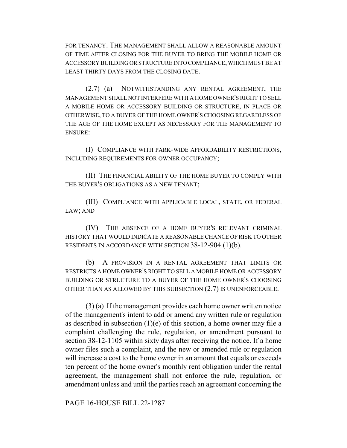FOR TENANCY. THE MANAGEMENT SHALL ALLOW A REASONABLE AMOUNT OF TIME AFTER CLOSING FOR THE BUYER TO BRING THE MOBILE HOME OR ACCESSORY BUILDING OR STRUCTURE INTO COMPLIANCE, WHICH MUST BE AT LEAST THIRTY DAYS FROM THE CLOSING DATE.

(2.7) (a) NOTWITHSTANDING ANY RENTAL AGREEMENT, THE MANAGEMENT SHALL NOT INTERFERE WITH A HOME OWNER'S RIGHT TO SELL A MOBILE HOME OR ACCESSORY BUILDING OR STRUCTURE, IN PLACE OR OTHERWISE, TO A BUYER OF THE HOME OWNER'S CHOOSING REGARDLESS OF THE AGE OF THE HOME EXCEPT AS NECESSARY FOR THE MANAGEMENT TO ENSURE:

(I) COMPLIANCE WITH PARK-WIDE AFFORDABILITY RESTRICTIONS, INCLUDING REQUIREMENTS FOR OWNER OCCUPANCY;

(II) THE FINANCIAL ABILITY OF THE HOME BUYER TO COMPLY WITH THE BUYER'S OBLIGATIONS AS A NEW TENANT;

(III) COMPLIANCE WITH APPLICABLE LOCAL, STATE, OR FEDERAL LAW; AND

(IV) THE ABSENCE OF A HOME BUYER'S RELEVANT CRIMINAL HISTORY THAT WOULD INDICATE A REASONABLE CHANCE OF RISK TO OTHER RESIDENTS IN ACCORDANCE WITH SECTION 38-12-904 (1)(b).

(b) A PROVISION IN A RENTAL AGREEMENT THAT LIMITS OR RESTRICTS A HOME OWNER'S RIGHT TO SELL A MOBILE HOME OR ACCESSORY BUILDING OR STRUCTURE TO A BUYER OF THE HOME OWNER'S CHOOSING OTHER THAN AS ALLOWED BY THIS SUBSECTION (2.7) IS UNENFORCEABLE.

(3) (a) If the management provides each home owner written notice of the management's intent to add or amend any written rule or regulation as described in subsection  $(1)(e)$  of this section, a home owner may file a complaint challenging the rule, regulation, or amendment pursuant to section 38-12-1105 within sixty days after receiving the notice. If a home owner files such a complaint, and the new or amended rule or regulation will increase a cost to the home owner in an amount that equals or exceeds ten percent of the home owner's monthly rent obligation under the rental agreement, the management shall not enforce the rule, regulation, or amendment unless and until the parties reach an agreement concerning the

PAGE 16-HOUSE BILL 22-1287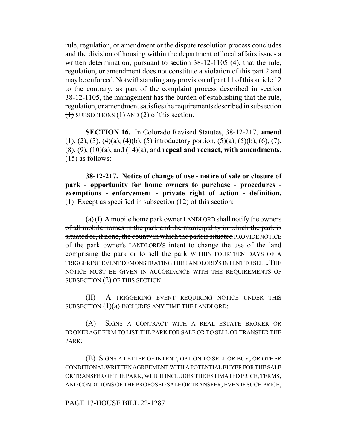rule, regulation, or amendment or the dispute resolution process concludes and the division of housing within the department of local affairs issues a written determination, pursuant to section 38-12-1105 (4), that the rule, regulation, or amendment does not constitute a violation of this part 2 and may be enforced. Notwithstanding any provision of part 11 of this article 12 to the contrary, as part of the complaint process described in section 38-12-1105, the management has the burden of establishing that the rule, regulation, or amendment satisfies the requirements described in subsection  $(1)$  SUBSECTIONS (1) AND (2) of this section.

**SECTION 16.** In Colorado Revised Statutes, 38-12-217, **amend**  $(1), (2), (3), (4)(a), (4)(b), (5)$  introductory portion,  $(5)(a), (5)(b), (6), (7),$ (8), (9), (10)(a), and (14)(a); and **repeal and reenact, with amendments,** (15) as follows:

**38-12-217. Notice of change of use - notice of sale or closure of park - opportunity for home owners to purchase - procedures exemptions - enforcement - private right of action - definition.** (1) Except as specified in subsection (12) of this section:

 $(a)(I)$  A mobile home park owner LANDLORD shall notify the owners of all mobile homes in the park and the municipality in which the park is situated or, if none, the county in which the park is situated PROVIDE NOTICE of the park owner's LANDLORD'S intent to change the use of the land comprising the park or to sell the park WITHIN FOURTEEN DAYS OF A TRIGGERING EVENT DEMONSTRATING THE LANDLORD'S INTENT TO SELL.THE NOTICE MUST BE GIVEN IN ACCORDANCE WITH THE REQUIREMENTS OF SUBSECTION (2) OF THIS SECTION.

(II) A TRIGGERING EVENT REQUIRING NOTICE UNDER THIS SUBSECTION  $(1)(a)$  INCLUDES ANY TIME THE LANDLORD:

(A) SIGNS A CONTRACT WITH A REAL ESTATE BROKER OR BROKERAGE FIRM TO LIST THE PARK FOR SALE OR TO SELL OR TRANSFER THE PARK;

(B) SIGNS A LETTER OF INTENT, OPTION TO SELL OR BUY, OR OTHER CONDITIONAL WRITTEN AGREEMENT WITH A POTENTIAL BUYER FOR THE SALE OR TRANSFER OF THE PARK, WHICH INCLUDES THE ESTIMATED PRICE, TERMS, AND CONDITIONS OF THE PROPOSED SALE OR TRANSFER, EVEN IF SUCH PRICE,

PAGE 17-HOUSE BILL 22-1287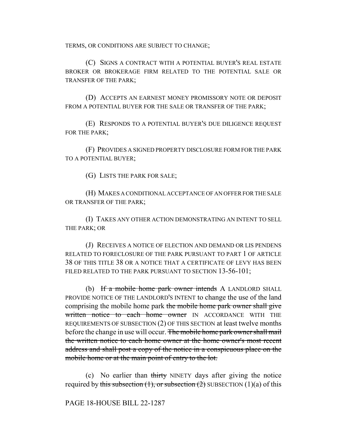TERMS, OR CONDITIONS ARE SUBJECT TO CHANGE;

(C) SIGNS A CONTRACT WITH A POTENTIAL BUYER'S REAL ESTATE BROKER OR BROKERAGE FIRM RELATED TO THE POTENTIAL SALE OR TRANSFER OF THE PARK;

(D) ACCEPTS AN EARNEST MONEY PROMISSORY NOTE OR DEPOSIT FROM A POTENTIAL BUYER FOR THE SALE OR TRANSFER OF THE PARK;

(E) RESPONDS TO A POTENTIAL BUYER'S DUE DILIGENCE REQUEST FOR THE PARK;

(F) PROVIDES A SIGNED PROPERTY DISCLOSURE FORM FOR THE PARK TO A POTENTIAL BUYER;

(G) LISTS THE PARK FOR SALE;

(H) MAKES A CONDITIONAL ACCEPTANCE OF AN OFFER FOR THE SALE OR TRANSFER OF THE PARK;

(I) TAKES ANY OTHER ACTION DEMONSTRATING AN INTENT TO SELL THE PARK; OR

(J) RECEIVES A NOTICE OF ELECTION AND DEMAND OR LIS PENDENS RELATED TO FORECLOSURE OF THE PARK PURSUANT TO PART 1 OF ARTICLE 38 OF THIS TITLE 38 OR A NOTICE THAT A CERTIFICATE OF LEVY HAS BEEN FILED RELATED TO THE PARK PURSUANT TO SECTION 13-56-101;

(b) If a mobile home park owner intends A LANDLORD SHALL PROVIDE NOTICE OF THE LANDLORD'S INTENT to change the use of the land comprising the mobile home park the mobile home park owner shall give written notice to each home owner IN ACCORDANCE WITH THE REQUIREMENTS OF SUBSECTION (2) OF THIS SECTION at least twelve months before the change in use will occur. The mobile home park owner shall mail the written notice to each home owner at the home owner's most recent address and shall post a copy of the notice in a conspicuous place on the mobile home or at the main point of entry to the lot.

(c) No earlier than thirty NINETY days after giving the notice required by this subsection  $(1)$ , or subsection  $(2)$  SUBSECTION  $(1)(a)$  of this

PAGE 18-HOUSE BILL 22-1287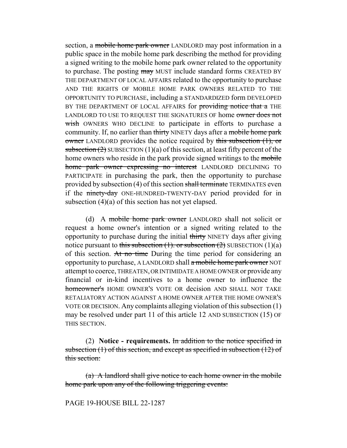section, a mobile home park owner LANDLORD may post information in a public space in the mobile home park describing the method for providing a signed writing to the mobile home park owner related to the opportunity to purchase. The posting may MUST include standard forms CREATED BY THE DEPARTMENT OF LOCAL AFFAIRS related to the opportunity to purchase AND THE RIGHTS OF MOBILE HOME PARK OWNERS RELATED TO THE OPPORTUNITY TO PURCHASE, including a STANDARDIZED form DEVELOPED BY THE DEPARTMENT OF LOCAL AFFAIRS for providing notice that a THE LANDLORD TO USE TO REQUEST THE SIGNATURES OF home owner does not wish OWNERS WHO DECLINE to participate in efforts to purchase a community. If, no earlier than thirty NINETY days after a mobile home park owner LANDLORD provides the notice required by this subsection (1), or subsection  $(2)$  SUBSECTION  $(1)(a)$  of this section, at least fifty percent of the home owners who reside in the park provide signed writings to the mobile home park owner expressing no interest LANDLORD DECLINING TO PARTICIPATE in purchasing the park, then the opportunity to purchase provided by subsection (4) of this section shall terminate TERMINATES even if the ninety-day ONE-HUNDRED-TWENTY-DAY period provided for in subsection (4)(a) of this section has not yet elapsed.

(d) A mobile home park owner LANDLORD shall not solicit or request a home owner's intention or a signed writing related to the opportunity to purchase during the initial thirty NINETY days after giving notice pursuant to this subsection  $(1)$ . or subsection  $(2)$  SUBSECTION  $(1)(a)$ of this section. At no time During the time period for considering an opportunity to purchase, A LANDLORD shall a mobile home park owner NOT attempt to coerce, THREATEN, OR INTIMIDATE A HOME OWNER or provide any financial or in-kind incentives to a home owner to influence the homeowner's HOME OWNER'S VOTE OR decision AND SHALL NOT TAKE RETALIATORY ACTION AGAINST A HOME OWNER AFTER THE HOME OWNER'S VOTE OR DECISION. Any complaints alleging violation of this subsection (1) may be resolved under part 11 of this article 12 AND SUBSECTION (15) OF THIS SECTION.

(2) **Notice - requirements.** In addition to the notice specified in subsection  $(1)$  of this section, and except as specified in subsection  $(12)$  of this section:

(a) A landlord shall give notice to each home owner in the mobile home park upon any of the following triggering events:

PAGE 19-HOUSE BILL 22-1287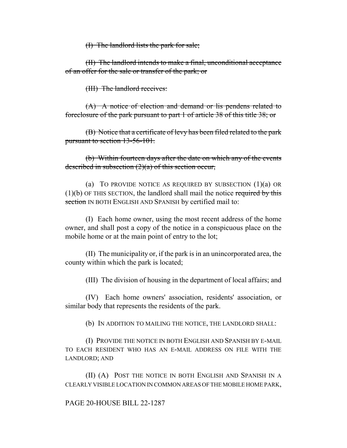(I) The landlord lists the park for sale;

(II) The landlord intends to make a final, unconditional acceptance of an offer for the sale or transfer of the park; or

(III) The landlord receives:

(A) A notice of election and demand or lis pendens related to foreclosure of the park pursuant to part 1 of article 38 of this title 38; or

(B) Notice that a certificate of levy has been filed related to the park pursuant to section 13-56-101.

(b) Within fourteen days after the date on which any of the events described in subsection  $(2)(a)$  of this section occur,

(a) TO PROVIDE NOTICE AS REQUIRED BY SUBSECTION  $(1)(a)$  OR  $(1)(b)$  OF THIS SECTION, the landlord shall mail the notice required by this section IN BOTH ENGLISH AND SPANISH by certified mail to:

(I) Each home owner, using the most recent address of the home owner, and shall post a copy of the notice in a conspicuous place on the mobile home or at the main point of entry to the lot;

(II) The municipality or, if the park is in an unincorporated area, the county within which the park is located;

(III) The division of housing in the department of local affairs; and

(IV) Each home owners' association, residents' association, or similar body that represents the residents of the park.

(b) IN ADDITION TO MAILING THE NOTICE, THE LANDLORD SHALL:

(I) PROVIDE THE NOTICE IN BOTH ENGLISH AND SPANISH BY E-MAIL TO EACH RESIDENT WHO HAS AN E-MAIL ADDRESS ON FILE WITH THE LANDLORD; AND

(II) (A) POST THE NOTICE IN BOTH ENGLISH AND SPANISH IN A CLEARLY VISIBLE LOCATION IN COMMON AREAS OF THE MOBILE HOME PARK,

### PAGE 20-HOUSE BILL 22-1287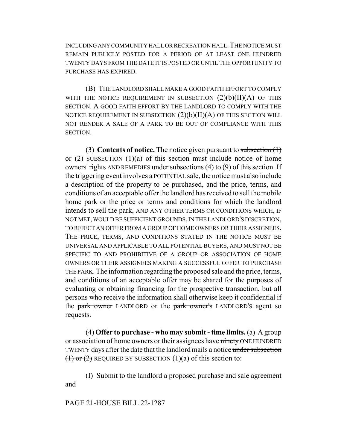INCLUDING ANY COMMUNITY HALL OR RECREATION HALL.THE NOTICE MUST REMAIN PUBLICLY POSTED FOR A PERIOD OF AT LEAST ONE HUNDRED TWENTY DAYS FROM THE DATE IT IS POSTED OR UNTIL THE OPPORTUNITY TO PURCHASE HAS EXPIRED.

(B) THE LANDLORD SHALL MAKE A GOOD FAITH EFFORT TO COMPLY WITH THE NOTICE REQUIREMENT IN SUBSECTION  $(2)(b)(II)(A)$  OF THIS SECTION. A GOOD FAITH EFFORT BY THE LANDLORD TO COMPLY WITH THE NOTICE REQUIREMENT IN SUBSECTION  $(2)(b)(II)(A)$  OF THIS SECTION WILL NOT RENDER A SALE OF A PARK TO BE OUT OF COMPLIANCE WITH THIS SECTION.

(3) **Contents of notice.** The notice given pursuant to subsection (1)  $\sigma$  (2) SUBSECTION (1)(a) of this section must include notice of home owners' rights AND REMEDIES under subsections  $(4)$  to  $(9)$  of this section. If the triggering event involves a POTENTIAL sale, the notice must also include a description of the property to be purchased, and the price, terms, and conditions of an acceptable offer the landlord has received to sell the mobile home park or the price or terms and conditions for which the landlord intends to sell the park, AND ANY OTHER TERMS OR CONDITIONS WHICH, IF NOT MET, WOULD BE SUFFICIENT GROUNDS, IN THE LANDLORD'S DISCRETION, TO REJECT AN OFFER FROM A GROUP OF HOME OWNERS OR THEIR ASSIGNEES. THE PRICE, TERMS, AND CONDITIONS STATED IN THE NOTICE MUST BE UNIVERSAL AND APPLICABLE TO ALL POTENTIAL BUYERS, AND MUST NOT BE SPECIFIC TO AND PROHIBITIVE OF A GROUP OR ASSOCIATION OF HOME OWNERS OR THEIR ASSIGNEES MAKING A SUCCESSFUL OFFER TO PURCHASE THE PARK. The information regarding the proposed sale and the price, terms, and conditions of an acceptable offer may be shared for the purposes of evaluating or obtaining financing for the prospective transaction, but all persons who receive the information shall otherwise keep it confidential if the park owner LANDLORD or the park owner's LANDLORD's agent so requests.

(4) **Offer to purchase - who may submit - time limits.** (a) A group or association of home owners or their assignees have ninety ONE HUNDRED TWENTY days after the date that the landlord mails a notice under subsection  $(1)$  or  $(2)$  REQUIRED BY SUBSECTION  $(1)(a)$  of this section to:

(I) Submit to the landlord a proposed purchase and sale agreement and

PAGE 21-HOUSE BILL 22-1287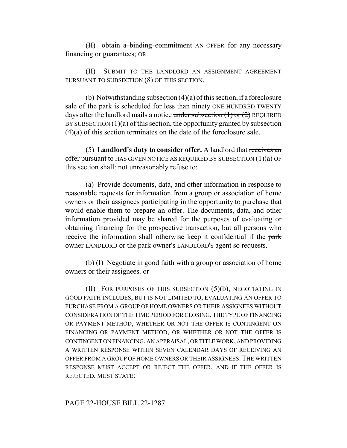$(H)$  obtain a binding commitment AN OFFER for any necessary financing or guarantees; OR

(II) SUBMIT TO THE LANDLORD AN ASSIGNMENT AGREEMENT PURSUANT TO SUBSECTION (8) OF THIS SECTION.

(b) Notwithstanding subsection (4)(a) of this section, if a foreclosure sale of the park is scheduled for less than ninety ONE HUNDRED TWENTY days after the landlord mails a notice under subsection  $(1)$  or  $(2)$  REQUIRED BY SUBSECTION  $(1)(a)$  of this section, the opportunity granted by subsection (4)(a) of this section terminates on the date of the foreclosure sale.

(5) **Landlord's duty to consider offer.** A landlord that receives an offer pursuant to HAS GIVEN NOTICE AS REQUIRED BY SUBSECTION  $(1)(a)$  OF this section shall: not unreasonably refuse to:

(a) Provide documents, data, and other information in response to reasonable requests for information from a group or association of home owners or their assignees participating in the opportunity to purchase that would enable them to prepare an offer. The documents, data, and other information provided may be shared for the purposes of evaluating or obtaining financing for the prospective transaction, but all persons who receive the information shall otherwise keep it confidential if the park owner LANDLORD or the park owner's LANDLORD'S agent so requests.

(b) (I) Negotiate in good faith with a group or association of home owners or their assignees. or

(II) FOR PURPOSES OF THIS SUBSECTION  $(5)(b)$ , NEGOTIATING IN GOOD FAITH INCLUDES, BUT IS NOT LIMITED TO, EVALUATING AN OFFER TO PURCHASE FROM A GROUP OF HOME OWNERS OR THEIR ASSIGNEES WITHOUT CONSIDERATION OF THE TIME PERIOD FOR CLOSING, THE TYPE OF FINANCING OR PAYMENT METHOD, WHETHER OR NOT THE OFFER IS CONTINGENT ON FINANCING OR PAYMENT METHOD, OR WHETHER OR NOT THE OFFER IS CONTINGENT ON FINANCING, AN APPRAISAL, OR TITLE WORK, AND PROVIDING A WRITTEN RESPONSE WITHIN SEVEN CALENDAR DAYS OF RECEIVING AN OFFER FROM A GROUP OF HOME OWNERS OR THEIR ASSIGNEES.THE WRITTEN RESPONSE MUST ACCEPT OR REJECT THE OFFER, AND IF THE OFFER IS REJECTED, MUST STATE:

### PAGE 22-HOUSE BILL 22-1287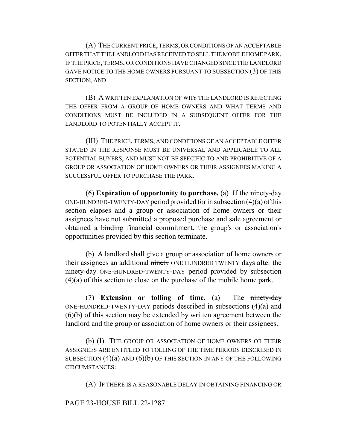(A) THE CURRENT PRICE, TERMS, OR CONDITIONS OF AN ACCEPTABLE OFFER THAT THE LANDLORD HAS RECEIVED TO SELL THE MOBILE HOME PARK, IF THE PRICE, TERMS, OR CONDITIONS HAVE CHANGED SINCE THE LANDLORD GAVE NOTICE TO THE HOME OWNERS PURSUANT TO SUBSECTION (3) OF THIS SECTION; AND

(B) A WRITTEN EXPLANATION OF WHY THE LANDLORD IS REJECTING THE OFFER FROM A GROUP OF HOME OWNERS AND WHAT TERMS AND CONDITIONS MUST BE INCLUDED IN A SUBSEQUENT OFFER FOR THE LANDLORD TO POTENTIALLY ACCEPT IT.

(III) THE PRICE, TERMS, AND CONDITIONS OF AN ACCEPTABLE OFFER STATED IN THE RESPONSE MUST BE UNIVERSAL AND APPLICABLE TO ALL POTENTIAL BUYERS, AND MUST NOT BE SPECIFIC TO AND PROHIBITIVE OF A GROUP OR ASSOCIATION OF HOME OWNERS OR THEIR ASSIGNEES MAKING A SUCCESSFUL OFFER TO PURCHASE THE PARK.

(6) **Expiration of opportunity to purchase.** (a) If the ninety-day ONE-HUNDRED-TWENTY-DAY period provided for in subsection (4)(a) of this section elapses and a group or association of home owners or their assignees have not submitted a proposed purchase and sale agreement or obtained a binding financial commitment, the group's or association's opportunities provided by this section terminate.

(b) A landlord shall give a group or association of home owners or their assignees an additional ninety ONE HUNDRED TWENTY days after the ninety-day ONE-HUNDRED-TWENTY-DAY period provided by subsection (4)(a) of this section to close on the purchase of the mobile home park.

(7) **Extension or tolling of time.** (a) The ninety-day ONE-HUNDRED-TWENTY-DAY periods described in subsections (4)(a) and (6)(b) of this section may be extended by written agreement between the landlord and the group or association of home owners or their assignees.

(b) (I) THE GROUP OR ASSOCIATION OF HOME OWNERS OR THEIR ASSIGNEES ARE ENTITLED TO TOLLING OF THE TIME PERIODS DESCRIBED IN SUBSECTION  $(4)(a)$  AND  $(6)(b)$  OF THIS SECTION IN ANY OF THE FOLLOWING CIRCUMSTANCES:

(A) IF THERE IS A REASONABLE DELAY IN OBTAINING FINANCING OR

### PAGE 23-HOUSE BILL 22-1287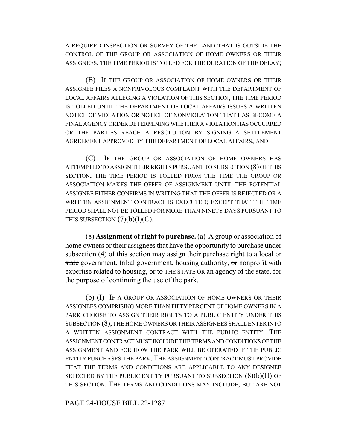A REQUIRED INSPECTION OR SURVEY OF THE LAND THAT IS OUTSIDE THE CONTROL OF THE GROUP OR ASSOCIATION OF HOME OWNERS OR THEIR ASSIGNEES, THE TIME PERIOD IS TOLLED FOR THE DURATION OF THE DELAY;

(B) IF THE GROUP OR ASSOCIATION OF HOME OWNERS OR THEIR ASSIGNEE FILES A NONFRIVOLOUS COMPLAINT WITH THE DEPARTMENT OF LOCAL AFFAIRS ALLEGING A VIOLATION OF THIS SECTION, THE TIME PERIOD IS TOLLED UNTIL THE DEPARTMENT OF LOCAL AFFAIRS ISSUES A WRITTEN NOTICE OF VIOLATION OR NOTICE OF NONVIOLATION THAT HAS BECOME A FINAL AGENCY ORDER DETERMINING WHETHER A VIOLATION HAS OCCURRED OR THE PARTIES REACH A RESOLUTION BY SIGNING A SETTLEMENT AGREEMENT APPROVED BY THE DEPARTMENT OF LOCAL AFFAIRS; AND

(C) IF THE GROUP OR ASSOCIATION OF HOME OWNERS HAS ATTEMPTED TO ASSIGN THEIR RIGHTS PURSUANT TO SUBSECTION (8) OF THIS SECTION, THE TIME PERIOD IS TOLLED FROM THE TIME THE GROUP OR ASSOCIATION MAKES THE OFFER OF ASSIGNMENT UNTIL THE POTENTIAL ASSIGNEE EITHER CONFIRMS IN WRITING THAT THE OFFER IS REJECTED OR A WRITTEN ASSIGNMENT CONTRACT IS EXECUTED; EXCEPT THAT THE TIME PERIOD SHALL NOT BE TOLLED FOR MORE THAN NINETY DAYS PURSUANT TO THIS SUBSECTION  $(7)(b)(I)(C)$ .

(8) **Assignment of right to purchase.** (a) A group or association of home owners or their assignees that have the opportunity to purchase under subsection (4) of this section may assign their purchase right to a local  $\sigma$ state government, tribal government, housing authority, or nonprofit with expertise related to housing, or to THE STATE OR an agency of the state, for the purpose of continuing the use of the park.

(b) (I) IF A GROUP OR ASSOCIATION OF HOME OWNERS OR THEIR ASSIGNEES COMPRISING MORE THAN FIFTY PERCENT OF HOME OWNERS IN A PARK CHOOSE TO ASSIGN THEIR RIGHTS TO A PUBLIC ENTITY UNDER THIS SUBSECTION (8), THE HOME OWNERS OR THEIR ASSIGNEES SHALL ENTER INTO A WRITTEN ASSIGNMENT CONTRACT WITH THE PUBLIC ENTITY. THE ASSIGNMENT CONTRACT MUST INCLUDE THE TERMS AND CONDITIONS OF THE ASSIGNMENT AND FOR HOW THE PARK WILL BE OPERATED IF THE PUBLIC ENTITY PURCHASES THE PARK. THE ASSIGNMENT CONTRACT MUST PROVIDE THAT THE TERMS AND CONDITIONS ARE APPLICABLE TO ANY DESIGNEE SELECTED BY THE PUBLIC ENTITY PURSUANT TO SUBSECTION  $(8)(b)(II)$  OF THIS SECTION. THE TERMS AND CONDITIONS MAY INCLUDE, BUT ARE NOT

### PAGE 24-HOUSE BILL 22-1287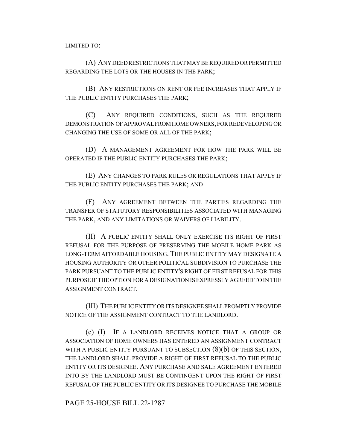LIMITED TO:

(A) ANY DEED RESTRICTIONS THAT MAY BE REQUIRED OR PERMITTED REGARDING THE LOTS OR THE HOUSES IN THE PARK;

(B) ANY RESTRICTIONS ON RENT OR FEE INCREASES THAT APPLY IF THE PUBLIC ENTITY PURCHASES THE PARK;

(C) ANY REQUIRED CONDITIONS, SUCH AS THE REQUIRED DEMONSTRATION OF APPROVAL FROM HOME OWNERS, FOR REDEVELOPING OR CHANGING THE USE OF SOME OR ALL OF THE PARK;

(D) A MANAGEMENT AGREEMENT FOR HOW THE PARK WILL BE OPERATED IF THE PUBLIC ENTITY PURCHASES THE PARK;

(E) ANY CHANGES TO PARK RULES OR REGULATIONS THAT APPLY IF THE PUBLIC ENTITY PURCHASES THE PARK; AND

(F) ANY AGREEMENT BETWEEN THE PARTIES REGARDING THE TRANSFER OF STATUTORY RESPONSIBILITIES ASSOCIATED WITH MANAGING THE PARK, AND ANY LIMITATIONS OR WAIVERS OF LIABILITY.

(II) A PUBLIC ENTITY SHALL ONLY EXERCISE ITS RIGHT OF FIRST REFUSAL FOR THE PURPOSE OF PRESERVING THE MOBILE HOME PARK AS LONG-TERM AFFORDABLE HOUSING. THE PUBLIC ENTITY MAY DESIGNATE A HOUSING AUTHORITY OR OTHER POLITICAL SUBDIVISION TO PURCHASE THE PARK PURSUANT TO THE PUBLIC ENTITY'S RIGHT OF FIRST REFUSAL FOR THIS PURPOSE IF THE OPTION FOR A DESIGNATION IS EXPRESSLY AGREED TO IN THE ASSIGNMENT CONTRACT.

(III) THE PUBLIC ENTITY OR ITS DESIGNEE SHALL PROMPTLY PROVIDE NOTICE OF THE ASSIGNMENT CONTRACT TO THE LANDLORD.

(c) (I) IF A LANDLORD RECEIVES NOTICE THAT A GROUP OR ASSOCIATION OF HOME OWNERS HAS ENTERED AN ASSIGNMENT CONTRACT WITH A PUBLIC ENTITY PURSUANT TO SUBSECTION  $(8)(b)$  OF THIS SECTION, THE LANDLORD SHALL PROVIDE A RIGHT OF FIRST REFUSAL TO THE PUBLIC ENTITY OR ITS DESIGNEE. ANY PURCHASE AND SALE AGREEMENT ENTERED INTO BY THE LANDLORD MUST BE CONTINGENT UPON THE RIGHT OF FIRST REFUSAL OF THE PUBLIC ENTITY OR ITS DESIGNEE TO PURCHASE THE MOBILE

PAGE 25-HOUSE BILL 22-1287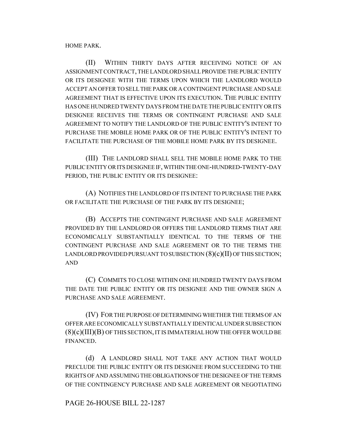HOME PARK.

(II) WITHIN THIRTY DAYS AFTER RECEIVING NOTICE OF AN ASSIGNMENT CONTRACT, THE LANDLORD SHALL PROVIDE THE PUBLIC ENTITY OR ITS DESIGNEE WITH THE TERMS UPON WHICH THE LANDLORD WOULD ACCEPT AN OFFER TO SELL THE PARK OR A CONTINGENT PURCHASE AND SALE AGREEMENT THAT IS EFFECTIVE UPON ITS EXECUTION. THE PUBLIC ENTITY HAS ONE HUNDRED TWENTY DAYS FROM THE DATE THE PUBLIC ENTITY OR ITS DESIGNEE RECEIVES THE TERMS OR CONTINGENT PURCHASE AND SALE AGREEMENT TO NOTIFY THE LANDLORD OF THE PUBLIC ENTITY'S INTENT TO PURCHASE THE MOBILE HOME PARK OR OF THE PUBLIC ENTITY'S INTENT TO FACILITATE THE PURCHASE OF THE MOBILE HOME PARK BY ITS DESIGNEE.

(III) THE LANDLORD SHALL SELL THE MOBILE HOME PARK TO THE PUBLIC ENTITY OR ITS DESIGNEE IF, WITHIN THE ONE-HUNDRED-TWENTY-DAY PERIOD, THE PUBLIC ENTITY OR ITS DESIGNEE:

(A) NOTIFIES THE LANDLORD OF ITS INTENT TO PURCHASE THE PARK OR FACILITATE THE PURCHASE OF THE PARK BY ITS DESIGNEE;

(B) ACCEPTS THE CONTINGENT PURCHASE AND SALE AGREEMENT PROVIDED BY THE LANDLORD OR OFFERS THE LANDLORD TERMS THAT ARE ECONOMICALLY SUBSTANTIALLY IDENTICAL TO THE TERMS OF THE CONTINGENT PURCHASE AND SALE AGREEMENT OR TO THE TERMS THE LANDLORD PROVIDED PURSUANT TO SUBSECTION  $(8)(c)(II)$  OF THIS SECTION; AND

(C) COMMITS TO CLOSE WITHIN ONE HUNDRED TWENTY DAYS FROM THE DATE THE PUBLIC ENTITY OR ITS DESIGNEE AND THE OWNER SIGN A PURCHASE AND SALE AGREEMENT.

(IV) FOR THE PURPOSE OF DETERMINING WHETHER THE TERMS OF AN OFFER ARE ECONOMICALLY SUBSTANTIALLY IDENTICAL UNDER SUBSECTION  $(8)(c)(III)(B)$  OF THIS SECTION, IT IS IMMATERIAL HOW THE OFFER WOULD BE FINANCED.

(d) A LANDLORD SHALL NOT TAKE ANY ACTION THAT WOULD PRECLUDE THE PUBLIC ENTITY OR ITS DESIGNEE FROM SUCCEEDING TO THE RIGHTS OF AND ASSUMING THE OBLIGATIONS OF THE DESIGNEE OF THE TERMS OF THE CONTINGENCY PURCHASE AND SALE AGREEMENT OR NEGOTIATING

PAGE 26-HOUSE BILL 22-1287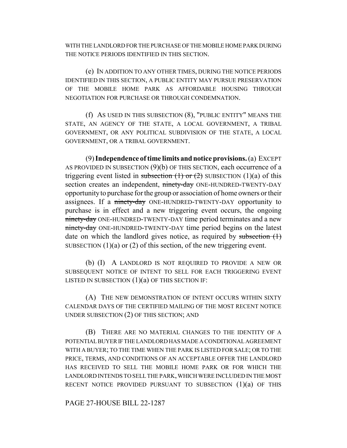WITH THE LANDLORD FOR THE PURCHASE OF THE MOBILE HOME PARK DURING THE NOTICE PERIODS IDENTIFIED IN THIS SECTION.

(e) IN ADDITION TO ANY OTHER TIMES, DURING THE NOTICE PERIODS IDENTIFIED IN THIS SECTION, A PUBLIC ENTITY MAY PURSUE PRESERVATION OF THE MOBILE HOME PARK AS AFFORDABLE HOUSING THROUGH NEGOTIATION FOR PURCHASE OR THROUGH CONDEMNATION.

(f) AS USED IN THIS SUBSECTION (8), "PUBLIC ENTITY" MEANS THE STATE, AN AGENCY OF THE STATE, A LOCAL GOVERNMENT, A TRIBAL GOVERNMENT, OR ANY POLITICAL SUBDIVISION OF THE STATE, A LOCAL GOVERNMENT, OR A TRIBAL GOVERNMENT.

(9) **Independence of time limits and notice provisions.** (a) EXCEPT AS PROVIDED IN SUBSECTION (9)(b) OF THIS SECTION, each occurrence of a triggering event listed in subsection  $(1)$  or  $(2)$  SUBSECTION  $(1)(a)$  of this section creates an independent, ninety-day ONE-HUNDRED-TWENTY-DAY opportunity to purchase for the group or association of home owners or their assignees. If a ninety-day ONE-HUNDRED-TWENTY-DAY opportunity to purchase is in effect and a new triggering event occurs, the ongoing ninety-day ONE-HUNDRED-TWENTY-DAY time period terminates and a new ninety-day ONE-HUNDRED-TWENTY-DAY time period begins on the latest date on which the landlord gives notice, as required by subsection  $(1)$ SUBSECTION  $(1)(a)$  or  $(2)$  of this section, of the new triggering event.

(b) (I) A LANDLORD IS NOT REQUIRED TO PROVIDE A NEW OR SUBSEQUENT NOTICE OF INTENT TO SELL FOR EACH TRIGGERING EVENT LISTED IN SUBSECTION  $(1)(a)$  OF THIS SECTION IF:

(A) THE NEW DEMONSTRATION OF INTENT OCCURS WITHIN SIXTY CALENDAR DAYS OF THE CERTIFIED MAILING OF THE MOST RECENT NOTICE UNDER SUBSECTION (2) OF THIS SECTION; AND

(B) THERE ARE NO MATERIAL CHANGES TO THE IDENTITY OF A POTENTIAL BUYER IF THE LANDLORD HAS MADE A CONDITIONAL AGREEMENT WITH A BUYER; TO THE TIME WHEN THE PARK IS LISTED FOR SALE; OR TO THE PRICE, TERMS, AND CONDITIONS OF AN ACCEPTABLE OFFER THE LANDLORD HAS RECEIVED TO SELL THE MOBILE HOME PARK OR FOR WHICH THE LANDLORD INTENDS TO SELL THE PARK, WHICH WERE INCLUDED IN THE MOST RECENT NOTICE PROVIDED PURSUANT TO SUBSECTION  $(1)(a)$  of this

PAGE 27-HOUSE BILL 22-1287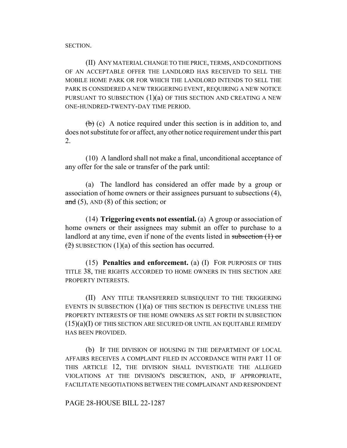SECTION.

(II) ANY MATERIAL CHANGE TO THE PRICE, TERMS, AND CONDITIONS OF AN ACCEPTABLE OFFER THE LANDLORD HAS RECEIVED TO SELL THE MOBILE HOME PARK OR FOR WHICH THE LANDLORD INTENDS TO SELL THE PARK IS CONSIDERED A NEW TRIGGERING EVENT, REQUIRING A NEW NOTICE PURSUANT TO SUBSECTION  $(1)(a)$  OF THIS SECTION AND CREATING A NEW ONE-HUNDRED-TWENTY-DAY TIME PERIOD.

 $\left(\frac{b}{b}\right)$  (c) A notice required under this section is in addition to, and does not substitute for or affect, any other notice requirement under this part 2.

(10) A landlord shall not make a final, unconditional acceptance of any offer for the sale or transfer of the park until:

(a) The landlord has considered an offer made by a group or association of home owners or their assignees pursuant to subsections (4), and  $(5)$ , AND  $(8)$  of this section; or

(14) **Triggering events not essential.** (a) A group or association of home owners or their assignees may submit an offer to purchase to a landlord at any time, even if none of the events listed in subsection (1) or  $(2)$  SUBSECTION  $(1)(a)$  of this section has occurred.

(15) **Penalties and enforcement.** (a) (I) FOR PURPOSES OF THIS TITLE 38, THE RIGHTS ACCORDED TO HOME OWNERS IN THIS SECTION ARE PROPERTY INTERESTS.

(II) ANY TITLE TRANSFERRED SUBSEQUENT TO THE TRIGGERING EVENTS IN SUBSECTION  $(1)(a)$  of this section is defective unless the PROPERTY INTERESTS OF THE HOME OWNERS AS SET FORTH IN SUBSECTION (15)(a)(I) OF THIS SECTION ARE SECURED OR UNTIL AN EQUITABLE REMEDY HAS BEEN PROVIDED.

(b) IF THE DIVISION OF HOUSING IN THE DEPARTMENT OF LOCAL AFFAIRS RECEIVES A COMPLAINT FILED IN ACCORDANCE WITH PART 11 OF THIS ARTICLE 12, THE DIVISION SHALL INVESTIGATE THE ALLEGED VIOLATIONS AT THE DIVISION'S DISCRETION, AND, IF APPROPRIATE, FACILITATE NEGOTIATIONS BETWEEN THE COMPLAINANT AND RESPONDENT

PAGE 28-HOUSE BILL 22-1287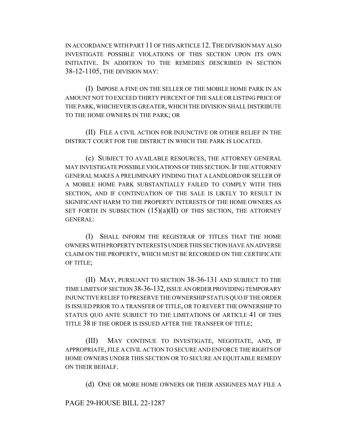IN ACCORDANCE WITH PART 11 OF THIS ARTICLE 12.THE DIVISION MAY ALSO INVESTIGATE POSSIBLE VIOLATIONS OF THIS SECTION UPON ITS OWN INITIATIVE. IN ADDITION TO THE REMEDIES DESCRIBED IN SECTION 38-12-1105, THE DIVISION MAY:

(I) IMPOSE A FINE ON THE SELLER OF THE MOBILE HOME PARK IN AN AMOUNT NOT TO EXCEED THIRTY PERCENT OF THE SALE OR LISTING PRICE OF THE PARK, WHICHEVER IS GREATER, WHICH THE DIVISION SHALL DISTRIBUTE TO THE HOME OWNERS IN THE PARK; OR

(II) FILE A CIVIL ACTION FOR INJUNCTIVE OR OTHER RELIEF IN THE DISTRICT COURT FOR THE DISTRICT IN WHICH THE PARK IS LOCATED.

(c) SUBJECT TO AVAILABLE RESOURCES, THE ATTORNEY GENERAL MAY INVESTIGATE POSSIBLE VIOLATIONS OF THIS SECTION. IF THE ATTORNEY GENERAL MAKES A PRELIMINARY FINDING THAT A LANDLORD OR SELLER OF A MOBILE HOME PARK SUBSTANTIALLY FAILED TO COMPLY WITH THIS SECTION, AND IF CONTINUATION OF THE SALE IS LIKELY TO RESULT IN SIGNIFICANT HARM TO THE PROPERTY INTERESTS OF THE HOME OWNERS AS SET FORTH IN SUBSECTION  $(15)(a)(II)$  of this section, the attorney GENERAL:

(I) SHALL INFORM THE REGISTRAR OF TITLES THAT THE HOME OWNERS WITH PROPERTY INTERESTS UNDER THIS SECTION HAVE AN ADVERSE CLAIM ON THE PROPERTY, WHICH MUST BE RECORDED ON THE CERTIFICATE OF TITLE;

(II) MAY, PURSUANT TO SECTION 38-36-131 AND SUBJECT TO THE TIME LIMITS OF SECTION 38-36-132, ISSUE AN ORDER PROVIDING TEMPORARY INJUNCTIVE RELIEF TO PRESERVE THE OWNERSHIP STATUS QUO IF THE ORDER IS ISSUED PRIOR TO A TRANSFER OF TITLE, OR TO REVERT THE OWNERSHIP TO STATUS QUO ANTE SUBJECT TO THE LIMITATIONS OF ARTICLE 41 OF THIS TITLE 38 IF THE ORDER IS ISSUED AFTER THE TRANSFER OF TITLE;

(III) MAY CONTINUE TO INVESTIGATE, NEGOTIATE, AND, IF APPROPRIATE, FILE A CIVIL ACTION TO SECURE AND ENFORCE THE RIGHTS OF HOME OWNERS UNDER THIS SECTION OR TO SECURE AN EQUITABLE REMEDY ON THEIR BEHALF.

(d) ONE OR MORE HOME OWNERS OR THEIR ASSIGNEES MAY FILE A

PAGE 29-HOUSE BILL 22-1287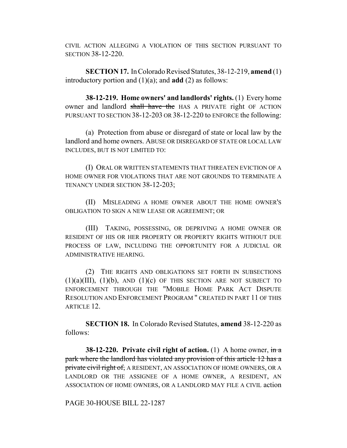CIVIL ACTION ALLEGING A VIOLATION OF THIS SECTION PURSUANT TO SECTION 38-12-220.

**SECTION 17.** In Colorado Revised Statutes, 38-12-219, **amend** (1) introductory portion and (1)(a); and **add** (2) as follows:

**38-12-219. Home owners' and landlords' rights.** (1) Every home owner and landlord shall have the HAS A PRIVATE right OF ACTION PURSUANT TO SECTION 38-12-203 OR 38-12-220 to ENFORCE the following:

(a) Protection from abuse or disregard of state or local law by the landlord and home owners. ABUSE OR DISREGARD OF STATE OR LOCAL LAW INCLUDES, BUT IS NOT LIMITED TO:

(I) ORAL OR WRITTEN STATEMENTS THAT THREATEN EVICTION OF A HOME OWNER FOR VIOLATIONS THAT ARE NOT GROUNDS TO TERMINATE A TENANCY UNDER SECTION 38-12-203;

(II) MISLEADING A HOME OWNER ABOUT THE HOME OWNER'S OBLIGATION TO SIGN A NEW LEASE OR AGREEMENT; OR

(III) TAKING, POSSESSING, OR DEPRIVING A HOME OWNER OR RESIDENT OF HIS OR HER PROPERTY OR PROPERTY RIGHTS WITHOUT DUE PROCESS OF LAW, INCLUDING THE OPPORTUNITY FOR A JUDICIAL OR ADMINISTRATIVE HEARING.

(2) THE RIGHTS AND OBLIGATIONS SET FORTH IN SUBSECTIONS  $(1)(a)(III)$ ,  $(1)(b)$ , AND  $(1)(c)$  OF THIS SECTION ARE NOT SUBJECT TO ENFORCEMENT THROUGH THE "MOBILE HOME PARK ACT DISPUTE RESOLUTION AND ENFORCEMENT PROGRAM " CREATED IN PART 11 OF THIS ARTICLE 12.

**SECTION 18.** In Colorado Revised Statutes, **amend** 38-12-220 as follows:

**38-12-220. Private civil right of action.** (1) A home owner,  $\frac{d}{dx}$ park where the landlord has violated any provision of this article 12 has a private civil right of, A RESIDENT, AN ASSOCIATION OF HOME OWNERS, OR A LANDLORD OR THE ASSIGNEE OF A HOME OWNER, A RESIDENT, AN ASSOCIATION OF HOME OWNERS, OR A LANDLORD MAY FILE A CIVIL action

PAGE 30-HOUSE BILL 22-1287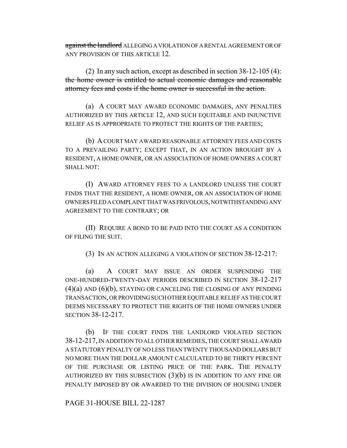against the landlord ALLEGING A VIOLATION OF A RENTAL AGREEMENT OR OF ANY PROVISION OF THIS ARTICLE 12.

(2) In any such action, except as described in section 38-12-105 (4): the home owner is entitled to actual economic damages and reasonable attorney fees and costs if the home owner is successful in the action.

(a) A COURT MAY AWARD ECONOMIC DAMAGES, ANY PENALTIES AUTHORIZED BY THIS ARTICLE 12, AND SUCH EQUITABLE AND INJUNCTIVE RELIEF AS IS APPROPRIATE TO PROTECT THE RIGHTS OF THE PARTIES;

(b) A COURT MAY AWARD REASONABLE ATTORNEY FEES AND COSTS TO A PREVAILING PARTY; EXCEPT THAT, IN AN ACTION BROUGHT BY A RESIDENT, A HOME OWNER, OR AN ASSOCIATION OF HOME OWNERS A COURT SHALL NOT:

(I) AWARD ATTORNEY FEES TO A LANDLORD UNLESS THE COURT FINDS THAT THE RESIDENT, A HOME OWNER, OR AN ASSOCIATION OF HOME OWNERS FILED A COMPLAINT THAT WAS FRIVOLOUS, NOTWITHSTANDING ANY AGREEMENT TO THE CONTRARY; OR

(II) REQUIRE A BOND TO BE PAID INTO THE COURT AS A CONDITION OF FILING THE SUIT.

(3) IN AN ACTION ALLEGING A VIOLATION OF SECTION 38-12-217:

(a) A COURT MAY ISSUE AN ORDER SUSPENDING THE ONE-HUNDRED-TWENTY-DAY PERIODS DESCRIBED IN SECTION 38-12-217  $(4)(a)$  AND  $(6)(b)$ , STAYING OR CANCELING THE CLOSING OF ANY PENDING TRANSACTION, OR PROVIDING SUCH OTHER EQUITABLE RELIEF AS THE COURT DEEMS NECESSARY TO PROTECT THE RIGHTS OF THE HOME OWNERS UNDER SECTION 38-12-217.

(b) IF THE COURT FINDS THE LANDLORD VIOLATED SECTION 38-12-217, IN ADDITION TO ALL OTHER REMEDIES, THE COURT SHALL AWARD A STATUTORY PENALTY OF NO LESS THAN TWENTY THOUSAND DOLLARS BUT NO MORE THAN THE DOLLAR AMOUNT CALCULATED TO BE THIRTY PERCENT OF THE PURCHASE OR LISTING PRICE OF THE PARK. THE PENALTY AUTHORIZED BY THIS SUBSECTION  $(3)(b)$  is in addition to any fine or PENALTY IMPOSED BY OR AWARDED TO THE DIVISION OF HOUSING UNDER

PAGE 31-HOUSE BILL 22-1287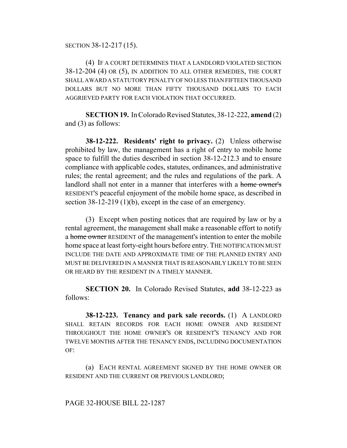SECTION 38-12-217 (15).

(4) IF A COURT DETERMINES THAT A LANDLORD VIOLATED SECTION 38-12-204 (4) OR (5), IN ADDITION TO ALL OTHER REMEDIES, THE COURT SHALL AWARD A STATUTORY PENALTY OF NO LESS THAN FIFTEEN THOUSAND DOLLARS BUT NO MORE THAN FIFTY THOUSAND DOLLARS TO EACH AGGRIEVED PARTY FOR EACH VIOLATION THAT OCCURRED.

**SECTION 19.** In Colorado Revised Statutes, 38-12-222, **amend** (2) and (3) as follows:

**38-12-222. Residents' right to privacy.** (2) Unless otherwise prohibited by law, the management has a right of entry to mobile home space to fulfill the duties described in section 38-12-212.3 and to ensure compliance with applicable codes, statutes, ordinances, and administrative rules; the rental agreement; and the rules and regulations of the park. A landlord shall not enter in a manner that interferes with a home owner's RESIDENT'S peaceful enjoyment of the mobile home space, as described in section 38-12-219 (1)(b), except in the case of an emergency.

(3) Except when posting notices that are required by law or by a rental agreement, the management shall make a reasonable effort to notify a home owner RESIDENT of the management's intention to enter the mobile home space at least forty-eight hours before entry. THE NOTIFICATION MUST INCLUDE THE DATE AND APPROXIMATE TIME OF THE PLANNED ENTRY AND MUST BE DELIVERED IN A MANNER THAT IS REASONABLY LIKELY TO BE SEEN OR HEARD BY THE RESIDENT IN A TIMELY MANNER.

**SECTION 20.** In Colorado Revised Statutes, **add** 38-12-223 as follows:

**38-12-223. Tenancy and park sale records.** (1) A LANDLORD SHALL RETAIN RECORDS FOR EACH HOME OWNER AND RESIDENT THROUGHOUT THE HOME OWNER'S OR RESIDENT'S TENANCY AND FOR TWELVE MONTHS AFTER THE TENANCY ENDS, INCLUDING DOCUMENTATION OF:

(a) EACH RENTAL AGREEMENT SIGNED BY THE HOME OWNER OR RESIDENT AND THE CURRENT OR PREVIOUS LANDLORD;

# PAGE 32-HOUSE BILL 22-1287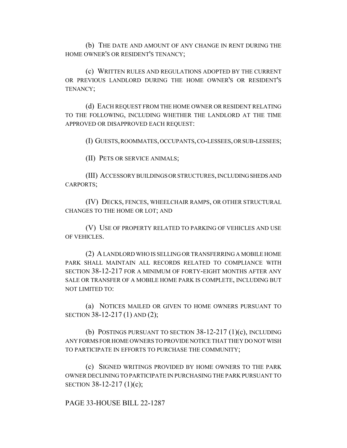(b) THE DATE AND AMOUNT OF ANY CHANGE IN RENT DURING THE HOME OWNER'S OR RESIDENT'S TENANCY;

(c) WRITTEN RULES AND REGULATIONS ADOPTED BY THE CURRENT OR PREVIOUS LANDLORD DURING THE HOME OWNER'S OR RESIDENT'S TENANCY;

(d) EACH REQUEST FROM THE HOME OWNER OR RESIDENT RELATING TO THE FOLLOWING, INCLUDING WHETHER THE LANDLORD AT THE TIME APPROVED OR DISAPPROVED EACH REQUEST:

(I) GUESTS, ROOMMATES, OCCUPANTS, CO-LESSEES, OR SUB-LESSEES;

(II) PETS OR SERVICE ANIMALS;

(III) ACCESSORY BUILDINGS OR STRUCTURES, INCLUDING SHEDS AND CARPORTS;

(IV) DECKS, FENCES, WHEELCHAIR RAMPS, OR OTHER STRUCTURAL CHANGES TO THE HOME OR LOT; AND

(V) USE OF PROPERTY RELATED TO PARKING OF VEHICLES AND USE OF VEHICLES.

(2) A LANDLORD WHO IS SELLING OR TRANSFERRING A MOBILE HOME PARK SHALL MAINTAIN ALL RECORDS RELATED TO COMPLIANCE WITH SECTION 38-12-217 FOR A MINIMUM OF FORTY-EIGHT MONTHS AFTER ANY SALE OR TRANSFER OF A MOBILE HOME PARK IS COMPLETE, INCLUDING BUT NOT LIMITED TO:

(a) NOTICES MAILED OR GIVEN TO HOME OWNERS PURSUANT TO SECTION 38-12-217 (1) AND (2);

(b) POSTINGS PURSUANT TO SECTION 38-12-217 (1)(c), INCLUDING ANY FORMS FOR HOME OWNERS TO PROVIDE NOTICE THAT THEY DO NOT WISH TO PARTICIPATE IN EFFORTS TO PURCHASE THE COMMUNITY;

(c) SIGNED WRITINGS PROVIDED BY HOME OWNERS TO THE PARK OWNER DECLINING TO PARTICIPATE IN PURCHASING THE PARK PURSUANT TO SECTION 38-12-217 (1)(c);

PAGE 33-HOUSE BILL 22-1287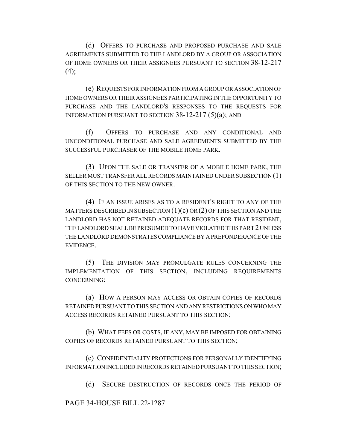(d) OFFERS TO PURCHASE AND PROPOSED PURCHASE AND SALE AGREEMENTS SUBMITTED TO THE LANDLORD BY A GROUP OR ASSOCIATION OF HOME OWNERS OR THEIR ASSIGNEES PURSUANT TO SECTION 38-12-217  $(4)$ ;

(e) REQUESTS FOR INFORMATION FROM A GROUP OR ASSOCIATION OF HOME OWNERS OR THEIR ASSIGNEES PARTICIPATING IN THE OPPORTUNITY TO PURCHASE AND THE LANDLORD'S RESPONSES TO THE REQUESTS FOR INFORMATION PURSUANT TO SECTION 38-12-217 (5)(a); AND

(f) OFFERS TO PURCHASE AND ANY CONDITIONAL AND UNCONDITIONAL PURCHASE AND SALE AGREEMENTS SUBMITTED BY THE SUCCESSFUL PURCHASER OF THE MOBILE HOME PARK.

(3) UPON THE SALE OR TRANSFER OF A MOBILE HOME PARK, THE SELLER MUST TRANSFER ALL RECORDS MAINTAINED UNDER SUBSECTION (1) OF THIS SECTION TO THE NEW OWNER.

(4) IF AN ISSUE ARISES AS TO A RESIDENT'S RIGHT TO ANY OF THE MATTERS DESCRIBED IN SUBSECTION  $(1)(c)$  OR  $(2)$  OF THIS SECTION AND THE LANDLORD HAS NOT RETAINED ADEQUATE RECORDS FOR THAT RESIDENT, THE LANDLORD SHALL BE PRESUMED TO HAVE VIOLATED THIS PART 2 UNLESS THE LANDLORD DEMONSTRATES COMPLIANCE BY A PREPONDERANCE OF THE EVIDENCE.

(5) THE DIVISION MAY PROMULGATE RULES CONCERNING THE IMPLEMENTATION OF THIS SECTION, INCLUDING REQUIREMENTS CONCERNING:

(a) HOW A PERSON MAY ACCESS OR OBTAIN COPIES OF RECORDS RETAINED PURSUANT TO THIS SECTION AND ANY RESTRICTIONS ON WHO MAY ACCESS RECORDS RETAINED PURSUANT TO THIS SECTION;

(b) WHAT FEES OR COSTS, IF ANY, MAY BE IMPOSED FOR OBTAINING COPIES OF RECORDS RETAINED PURSUANT TO THIS SECTION;

(c) CONFIDENTIALITY PROTECTIONS FOR PERSONALLY IDENTIFYING INFORMATION INCLUDED IN RECORDS RETAINED PURSUANT TO THIS SECTION;

(d) SECURE DESTRUCTION OF RECORDS ONCE THE PERIOD OF

PAGE 34-HOUSE BILL 22-1287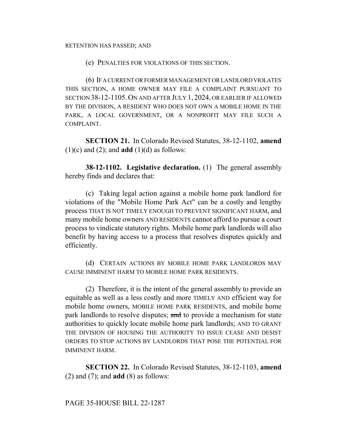#### RETENTION HAS PASSED; AND

(e) PENALTIES FOR VIOLATIONS OF THIS SECTION.

(6) IF A CURRENT OR FORMER MANAGEMENT OR LANDLORD VIOLATES THIS SECTION, A HOME OWNER MAY FILE A COMPLAINT PURSUANT TO SECTION 38-12-1105.ON AND AFTER JULY 1, 2024, OR EARLIER IF ALLOWED BY THE DIVISION, A RESIDENT WHO DOES NOT OWN A MOBILE HOME IN THE PARK, A LOCAL GOVERNMENT, OR A NONPROFIT MAY FILE SUCH A COMPLAINT.

**SECTION 21.** In Colorado Revised Statutes, 38-12-1102, **amend**  $(1)(c)$  and  $(2)$ ; and **add**  $(1)(d)$  as follows:

**38-12-1102. Legislative declaration.** (1) The general assembly hereby finds and declares that:

(c) Taking legal action against a mobile home park landlord for violations of the "Mobile Home Park Act" can be a costly and lengthy process THAT IS NOT TIMELY ENOUGH TO PREVENT SIGNIFICANT HARM, and many mobile home owners AND RESIDENTS cannot afford to pursue a court process to vindicate statutory rights. Mobile home park landlords will also benefit by having access to a process that resolves disputes quickly and efficiently.

(d) CERTAIN ACTIONS BY MOBILE HOME PARK LANDLORDS MAY CAUSE IMMINENT HARM TO MOBILE HOME PARK RESIDENTS.

(2) Therefore, it is the intent of the general assembly to provide an equitable as well as a less costly and more TIMELY AND efficient way for mobile home owners, MOBILE HOME PARK RESIDENTS, and mobile home park landlords to resolve disputes; and to provide a mechanism for state authorities to quickly locate mobile home park landlords; AND TO GRANT THE DIVISION OF HOUSING THE AUTHORITY TO ISSUE CEASE AND DESIST ORDERS TO STOP ACTIONS BY LANDLORDS THAT POSE THE POTENTIAL FOR IMMINENT HARM.

**SECTION 22.** In Colorado Revised Statutes, 38-12-1103, **amend** (2) and (7); and **add** (8) as follows: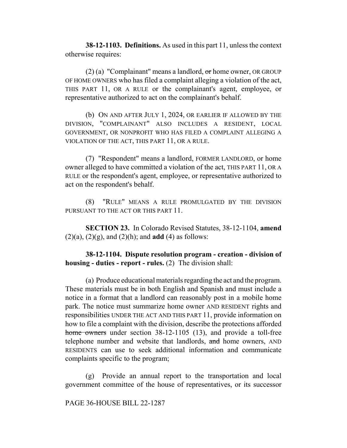**38-12-1103. Definitions.** As used in this part 11, unless the context otherwise requires:

(2) (a) "Complainant" means a landlord,  $\sigma$ r home owner, OR GROUP OF HOME OWNERS who has filed a complaint alleging a violation of the act, THIS PART 11, OR A RULE or the complainant's agent, employee, or representative authorized to act on the complainant's behalf.

(b) ON AND AFTER JULY 1, 2024, OR EARLIER IF ALLOWED BY THE DIVISION, "COMPLAINANT" ALSO INCLUDES A RESIDENT, LOCAL GOVERNMENT, OR NONPROFIT WHO HAS FILED A COMPLAINT ALLEGING A VIOLATION OF THE ACT, THIS PART 11, OR A RULE.

(7) "Respondent" means a landlord, FORMER LANDLORD, or home owner alleged to have committed a violation of the act, THIS PART 11, OR A RULE or the respondent's agent, employee, or representative authorized to act on the respondent's behalf.

(8) "RULE" MEANS A RULE PROMULGATED BY THE DIVISION PURSUANT TO THE ACT OR THIS PART 11.

**SECTION 23.** In Colorado Revised Statutes, 38-12-1104, **amend**  $(2)(a)$ ,  $(2)(g)$ , and  $(2)(h)$ ; and **add** (4) as follows:

**38-12-1104. Dispute resolution program - creation - division of housing - duties - report - rules.** (2) The division shall:

(a) Produce educational materials regarding the act and the program. These materials must be in both English and Spanish and must include a notice in a format that a landlord can reasonably post in a mobile home park. The notice must summarize home owner AND RESIDENT rights and responsibilities UNDER THE ACT AND THIS PART 11, provide information on how to file a complaint with the division, describe the protections afforded home owners under section 38-12-1105 (13), and provide a toll-free telephone number and website that landlords, and home owners, AND RESIDENTS can use to seek additional information and communicate complaints specific to the program;

(g) Provide an annual report to the transportation and local government committee of the house of representatives, or its successor

PAGE 36-HOUSE BILL 22-1287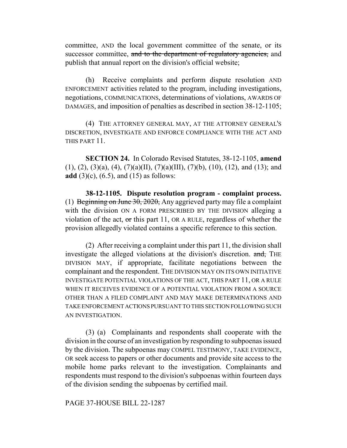committee, AND the local government committee of the senate, or its successor committee, and to the department of regulatory agencies, and publish that annual report on the division's official website;

(h) Receive complaints and perform dispute resolution AND ENFORCEMENT activities related to the program, including investigations, negotiations, COMMUNICATIONS, determinations of violations, AWARDS OF DAMAGES, and imposition of penalties as described in section 38-12-1105;

(4) THE ATTORNEY GENERAL MAY, AT THE ATTORNEY GENERAL'S DISCRETION, INVESTIGATE AND ENFORCE COMPLIANCE WITH THE ACT AND THIS PART 11.

**SECTION 24.** In Colorado Revised Statutes, 38-12-1105, **amend**  $(1), (2), (3)(a), (4), (7)(a)(II), (7)(a)(III), (7)(b), (10), (12), and (13);$  and **add** (3)(c), (6.5), and (15) as follows:

**38-12-1105. Dispute resolution program - complaint process.** (1) Beginning on June 30, 2020, Any aggrieved party may file a complaint with the division ON A FORM PRESCRIBED BY THE DIVISION alleging a violation of the act,  $\sigma r$  this part 11, OR A RULE, regardless of whether the provision allegedly violated contains a specific reference to this section.

(2) After receiving a complaint under this part 11, the division shall investigate the alleged violations at the division's discretion. and, THE DIVISION MAY, if appropriate, facilitate negotiations between the complainant and the respondent. THE DIVISION MAY ON ITS OWN INITIATIVE INVESTIGATE POTENTIAL VIOLATIONS OF THE ACT, THIS PART 11, OR A RULE WHEN IT RECEIVES EVIDENCE OF A POTENTIAL VIOLATION FROM A SOURCE OTHER THAN A FILED COMPLAINT AND MAY MAKE DETERMINATIONS AND TAKE ENFORCEMENT ACTIONS PURSUANT TO THIS SECTION FOLLOWING SUCH AN INVESTIGATION.

(3) (a) Complainants and respondents shall cooperate with the division in the course of an investigation by responding to subpoenas issued by the division. The subpoenas may COMPEL TESTIMONY, TAKE EVIDENCE, OR seek access to papers or other documents and provide site access to the mobile home parks relevant to the investigation. Complainants and respondents must respond to the division's subpoenas within fourteen days of the division sending the subpoenas by certified mail.

PAGE 37-HOUSE BILL 22-1287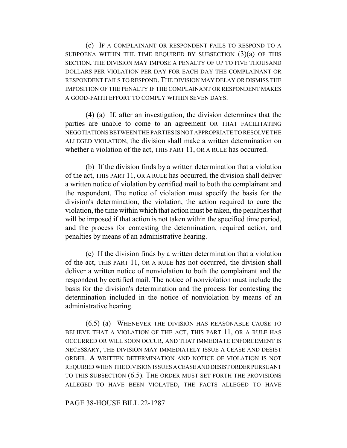(c) IF A COMPLAINANT OR RESPONDENT FAILS TO RESPOND TO A SUBPOENA WITHIN THE TIME REQUIRED BY SUBSECTION  $(3)(a)$  OF THIS SECTION, THE DIVISION MAY IMPOSE A PENALTY OF UP TO FIVE THOUSAND DOLLARS PER VIOLATION PER DAY FOR EACH DAY THE COMPLAINANT OR RESPONDENT FAILS TO RESPOND. THE DIVISION MAY DELAY OR DISMISS THE IMPOSITION OF THE PENALTY IF THE COMPLAINANT OR RESPONDENT MAKES A GOOD-FAITH EFFORT TO COMPLY WITHIN SEVEN DAYS.

(4) (a) If, after an investigation, the division determines that the parties are unable to come to an agreement OR THAT FACILITATING NEGOTIATIONS BETWEEN THE PARTIES IS NOT APPROPRIATE TO RESOLVE THE ALLEGED VIOLATION, the division shall make a written determination on whether a violation of the act, THIS PART 11, OR A RULE has occurred.

(b) If the division finds by a written determination that a violation of the act, THIS PART 11, OR A RULE has occurred, the division shall deliver a written notice of violation by certified mail to both the complainant and the respondent. The notice of violation must specify the basis for the division's determination, the violation, the action required to cure the violation, the time within which that action must be taken, the penalties that will be imposed if that action is not taken within the specified time period, and the process for contesting the determination, required action, and penalties by means of an administrative hearing.

(c) If the division finds by a written determination that a violation of the act, THIS PART 11, OR A RULE has not occurred, the division shall deliver a written notice of nonviolation to both the complainant and the respondent by certified mail. The notice of nonviolation must include the basis for the division's determination and the process for contesting the determination included in the notice of nonviolation by means of an administrative hearing.

(6.5) (a) WHENEVER THE DIVISION HAS REASONABLE CAUSE TO BELIEVE THAT A VIOLATION OF THE ACT, THIS PART 11, OR A RULE HAS OCCURRED OR WILL SOON OCCUR, AND THAT IMMEDIATE ENFORCEMENT IS NECESSARY, THE DIVISION MAY IMMEDIATELY ISSUE A CEASE AND DESIST ORDER. A WRITTEN DETERMINATION AND NOTICE OF VIOLATION IS NOT REQUIRED WHEN THE DIVISION ISSUES A CEASE AND DESIST ORDER PURSUANT TO THIS SUBSECTION (6.5). THE ORDER MUST SET FORTH THE PROVISIONS ALLEGED TO HAVE BEEN VIOLATED, THE FACTS ALLEGED TO HAVE

PAGE 38-HOUSE BILL 22-1287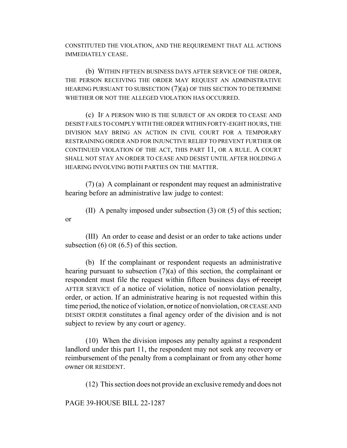CONSTITUTED THE VIOLATION, AND THE REQUIREMENT THAT ALL ACTIONS IMMEDIATELY CEASE.

(b) WITHIN FIFTEEN BUSINESS DAYS AFTER SERVICE OF THE ORDER, THE PERSON RECEIVING THE ORDER MAY REQUEST AN ADMINISTRATIVE HEARING PURSUANT TO SUBSECTION (7)(a) OF THIS SECTION TO DETERMINE WHETHER OR NOT THE ALLEGED VIOLATION HAS OCCURRED.

(c) IF A PERSON WHO IS THE SUBJECT OF AN ORDER TO CEASE AND DESIST FAILS TO COMPLY WITH THE ORDER WITHIN FORTY-EIGHT HOURS, THE DIVISION MAY BRING AN ACTION IN CIVIL COURT FOR A TEMPORARY RESTRAINING ORDER AND FOR INJUNCTIVE RELIEF TO PREVENT FURTHER OR CONTINUED VIOLATION OF THE ACT, THIS PART 11, OR A RULE. A COURT SHALL NOT STAY AN ORDER TO CEASE AND DESIST UNTIL AFTER HOLDING A HEARING INVOLVING BOTH PARTIES ON THE MATTER.

(7) (a) A complainant or respondent may request an administrative hearing before an administrative law judge to contest:

(II) A penalty imposed under subsection (3) OR (5) of this section; or

(III) An order to cease and desist or an order to take actions under subsection  $(6)$  OR  $(6.5)$  of this section.

(b) If the complainant or respondent requests an administrative hearing pursuant to subsection (7)(a) of this section, the complainant or respondent must file the request within fifteen business days of receipt AFTER SERVICE of a notice of violation, notice of nonviolation penalty, order, or action. If an administrative hearing is not requested within this time period, the notice of violation,  $\sigma r$  notice of nonviolation, OR CEASE AND DESIST ORDER constitutes a final agency order of the division and is not subject to review by any court or agency.

(10) When the division imposes any penalty against a respondent landlord under this part 11, the respondent may not seek any recovery or reimbursement of the penalty from a complainant or from any other home owner OR RESIDENT.

(12) This section does not provide an exclusive remedy and does not

PAGE 39-HOUSE BILL 22-1287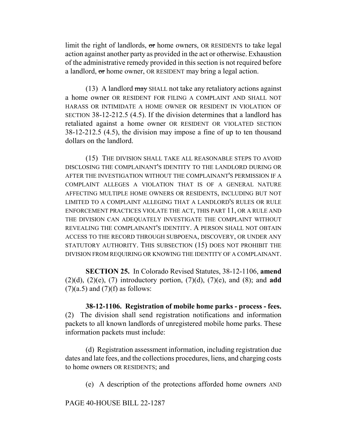limit the right of landlords, or home owners, OR RESIDENTS to take legal action against another party as provided in the act or otherwise. Exhaustion of the administrative remedy provided in this section is not required before a landlord, or home owner, OR RESIDENT may bring a legal action.

(13) A landlord  $\frac{may}{tt}$  SHALL not take any retaliatory actions against a home owner OR RESIDENT FOR FILING A COMPLAINT AND SHALL NOT HARASS OR INTIMIDATE A HOME OWNER OR RESIDENT IN VIOLATION OF SECTION 38-12-212.5 (4.5). If the division determines that a landlord has retaliated against a home owner OR RESIDENT OR VIOLATED SECTION 38-12-212.5 (4.5), the division may impose a fine of up to ten thousand dollars on the landlord.

(15) THE DIVISION SHALL TAKE ALL REASONABLE STEPS TO AVOID DISCLOSING THE COMPLAINANT'S IDENTITY TO THE LANDLORD DURING OR AFTER THE INVESTIGATION WITHOUT THE COMPLAINANT'S PERMISSION IF A COMPLAINT ALLEGES A VIOLATION THAT IS OF A GENERAL NATURE AFFECTING MULTIPLE HOME OWNERS OR RESIDENTS, INCLUDING BUT NOT LIMITED TO A COMPLAINT ALLEGING THAT A LANDLORD'S RULES OR RULE ENFORCEMENT PRACTICES VIOLATE THE ACT, THIS PART 11, OR A RULE AND THE DIVISION CAN ADEQUATELY INVESTIGATE THE COMPLAINT WITHOUT REVEALING THE COMPLAINANT'S IDENTITY. A PERSON SHALL NOT OBTAIN ACCESS TO THE RECORD THROUGH SUBPOENA, DISCOVERY, OR UNDER ANY STATUTORY AUTHORITY. THIS SUBSECTION (15) DOES NOT PROHIBIT THE DIVISION FROM REQUIRING OR KNOWING THE IDENTITY OF A COMPLAINANT.

**SECTION 25.** In Colorado Revised Statutes, 38-12-1106, **amend** (2)(d), (2)(e), (7) introductory portion, (7)(d), (7)(e), and (8); and **add**  $(7)(a.5)$  and  $(7)(f)$  as follows:

**38-12-1106. Registration of mobile home parks - process - fees.** (2) The division shall send registration notifications and information packets to all known landlords of unregistered mobile home parks. These information packets must include:

(d) Registration assessment information, including registration due dates and late fees, and the collections procedures, liens, and charging costs to home owners OR RESIDENTS; and

(e) A description of the protections afforded home owners AND

PAGE 40-HOUSE BILL 22-1287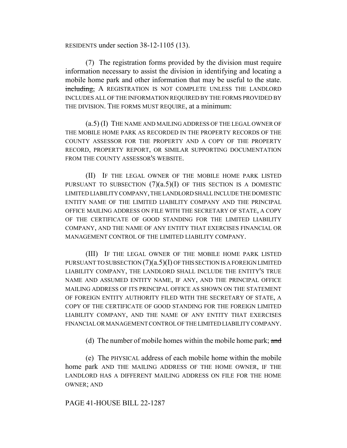RESIDENTS under section 38-12-1105 (13).

(7) The registration forms provided by the division must require information necessary to assist the division in identifying and locating a mobile home park and other information that may be useful to the state. including, A REGISTRATION IS NOT COMPLETE UNLESS THE LANDLORD INCLUDES ALL OF THE INFORMATION REQUIRED BY THE FORMS PROVIDED BY THE DIVISION. THE FORMS MUST REQUIRE, at a minimum:

(a.5) (I) THE NAME AND MAILING ADDRESS OF THE LEGAL OWNER OF THE MOBILE HOME PARK AS RECORDED IN THE PROPERTY RECORDS OF THE COUNTY ASSESSOR FOR THE PROPERTY AND A COPY OF THE PROPERTY RECORD, PROPERTY REPORT, OR SIMILAR SUPPORTING DOCUMENTATION FROM THE COUNTY ASSESSOR'S WEBSITE.

(II) IF THE LEGAL OWNER OF THE MOBILE HOME PARK LISTED PURSUANT TO SUBSECTION  $(7)(a.5)(I)$  OF THIS SECTION IS A DOMESTIC LIMITED LIABILITY COMPANY, THE LANDLORD SHALL INCLUDE THE DOMESTIC ENTITY NAME OF THE LIMITED LIABILITY COMPANY AND THE PRINCIPAL OFFICE MAILING ADDRESS ON FILE WITH THE SECRETARY OF STATE, A COPY OF THE CERTIFICATE OF GOOD STANDING FOR THE LIMITED LIABILITY COMPANY, AND THE NAME OF ANY ENTITY THAT EXERCISES FINANCIAL OR MANAGEMENT CONTROL OF THE LIMITED LIABILITY COMPANY.

(III) IF THE LEGAL OWNER OF THE MOBILE HOME PARK LISTED PURSUANT TO SUBSECTION  $(7)(a.5)(I)$  OF THIS SECTION IS A FOREIGN LIMITED LIABILITY COMPANY, THE LANDLORD SHALL INCLUDE THE ENTITY'S TRUE NAME AND ASSUMED ENTITY NAME, IF ANY, AND THE PRINCIPAL OFFICE MAILING ADDRESS OF ITS PRINCIPAL OFFICE AS SHOWN ON THE STATEMENT OF FOREIGN ENTITY AUTHORITY FILED WITH THE SECRETARY OF STATE, A COPY OF THE CERTIFICATE OF GOOD STANDING FOR THE FOREIGN LIMITED LIABILITY COMPANY, AND THE NAME OF ANY ENTITY THAT EXERCISES FINANCIAL OR MANAGEMENT CONTROL OF THE LIMITED LIABILITY COMPANY.

(d) The number of mobile homes within the mobile home park; and

(e) The PHYSICAL address of each mobile home within the mobile home park AND THE MAILING ADDRESS OF THE HOME OWNER, IF THE LANDLORD HAS A DIFFERENT MAILING ADDRESS ON FILE FOR THE HOME OWNER; AND

### PAGE 41-HOUSE BILL 22-1287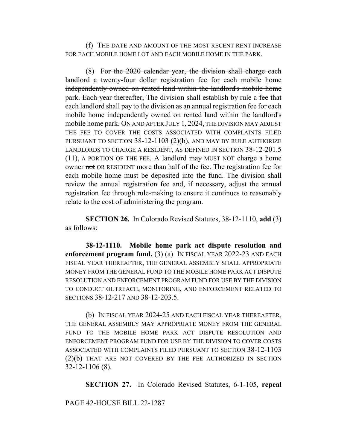(f) THE DATE AND AMOUNT OF THE MOST RECENT RENT INCREASE FOR EACH MOBILE HOME LOT AND EACH MOBILE HOME IN THE PARK.

(8) For the 2020 calendar year, the division shall charge each landlord a twenty-four dollar registration fee for each mobile home independently owned on rented land within the landlord's mobile home park. Each year thereafter, The division shall establish by rule a fee that each landlord shall pay to the division as an annual registration fee for each mobile home independently owned on rented land within the landlord's mobile home park. ON AND AFTER JULY 1, 2024, THE DIVISION MAY ADJUST THE FEE TO COVER THE COSTS ASSOCIATED WITH COMPLAINTS FILED PURSUANT TO SECTION 38-12-1103 (2)(b), AND MAY BY RULE AUTHORIZE LANDLORDS TO CHARGE A RESIDENT, AS DEFINED IN SECTION 38-12-201.5 (11), A PORTION OF THE FEE. A landlord  $\frac{may}{may}$  MUST NOT charge a home owner not OR RESIDENT more than half of the fee. The registration fee for each mobile home must be deposited into the fund. The division shall review the annual registration fee and, if necessary, adjust the annual registration fee through rule-making to ensure it continues to reasonably relate to the cost of administering the program.

**SECTION 26.** In Colorado Revised Statutes, 38-12-1110, **add** (3) as follows:

**38-12-1110. Mobile home park act dispute resolution and enforcement program fund.** (3) (a) IN FISCAL YEAR 2022-23 AND EACH FISCAL YEAR THEREAFTER, THE GENERAL ASSEMBLY SHALL APPROPRIATE MONEY FROM THE GENERAL FUND TO THE MOBILE HOME PARK ACT DISPUTE RESOLUTION AND ENFORCEMENT PROGRAM FUND FOR USE BY THE DIVISION TO CONDUCT OUTREACH, MONITORING, AND ENFORCEMENT RELATED TO SECTIONS 38-12-217 AND 38-12-203.5.

(b) IN FISCAL YEAR 2024-25 AND EACH FISCAL YEAR THEREAFTER, THE GENERAL ASSEMBLY MAY APPROPRIATE MONEY FROM THE GENERAL FUND TO THE MOBILE HOME PARK ACT DISPUTE RESOLUTION AND ENFORCEMENT PROGRAM FUND FOR USE BY THE DIVISION TO COVER COSTS ASSOCIATED WITH COMPLAINTS FILED PURSUANT TO SECTION 38-12-1103 (2)(b) THAT ARE NOT COVERED BY THE FEE AUTHORIZED IN SECTION 32-12-1106 (8).

**SECTION 27.** In Colorado Revised Statutes, 6-1-105, **repeal**

PAGE 42-HOUSE BILL 22-1287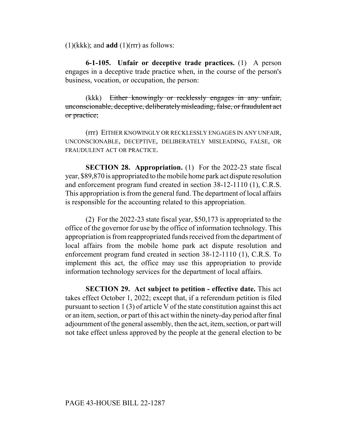$(1)(kk)$ ; and **add**  $(1)(rr)$  as follows:

**6-1-105. Unfair or deceptive trade practices.** (1) A person engages in a deceptive trade practice when, in the course of the person's business, vocation, or occupation, the person:

(kkk) Either knowingly or recklessly engages in any unfair, unconscionable, deceptive, deliberately misleading, false, or fraudulent act or practice;

(rrr) EITHER KNOWINGLY OR RECKLESSLY ENGAGES IN ANY UNFAIR, UNCONSCIONABLE, DECEPTIVE, DELIBERATELY MISLEADING, FALSE, OR FRAUDULENT ACT OR PRACTICE.

**SECTION 28. Appropriation.** (1) For the 2022-23 state fiscal year, \$89,870 is appropriated to the mobile home park act dispute resolution and enforcement program fund created in section 38-12-1110 (1), C.R.S. This appropriation is from the general fund. The department of local affairs is responsible for the accounting related to this appropriation.

(2) For the 2022-23 state fiscal year, \$50,173 is appropriated to the office of the governor for use by the office of information technology. This appropriation is from reappropriated funds received from the department of local affairs from the mobile home park act dispute resolution and enforcement program fund created in section 38-12-1110 (1), C.R.S. To implement this act, the office may use this appropriation to provide information technology services for the department of local affairs.

**SECTION 29. Act subject to petition - effective date.** This act takes effect October 1, 2022; except that, if a referendum petition is filed pursuant to section 1 (3) of article V of the state constitution against this act or an item, section, or part of this act within the ninety-day period after final adjournment of the general assembly, then the act, item, section, or part will not take effect unless approved by the people at the general election to be